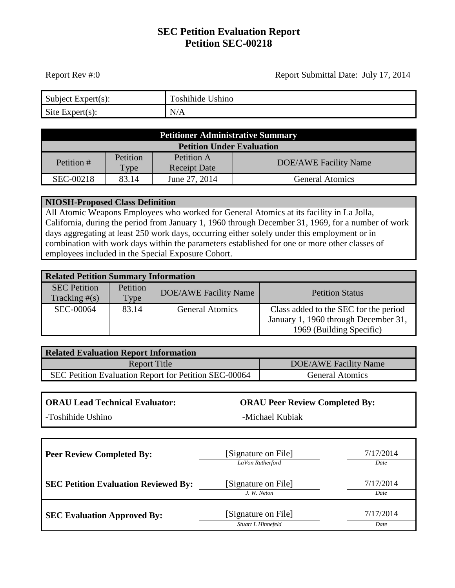### **SEC Petition Evaluation Report Petition SEC-00218**

| Report Rev #: $\underline{0}$ | Report Submittal Date: July 17, 2014 |  |
|-------------------------------|--------------------------------------|--|
|                               |                                      |  |

| Subject Expert(s): | Toshihide Ushino |
|--------------------|------------------|
| Site Expert(s):    | N/A              |

| <b>Petitioner Administrative Summary</b> |                  |                                   |                        |
|------------------------------------------|------------------|-----------------------------------|------------------------|
| <b>Petition Under Evaluation</b>         |                  |                                   |                        |
| Petition #                               | Petition<br>Type | Petition A<br><b>Receipt Date</b> | DOE/AWE Facility Name  |
| SEC-00218                                | 83.14            | June 27, 2014                     | <b>General Atomics</b> |

#### **NIOSH-Proposed Class Definition**

All Atomic Weapons Employees who worked for General Atomics at its facility in La Jolla, California, during the period from January 1, 1960 through December 31, 1969, for a number of work days aggregating at least 250 work days, occurring either solely under this employment or in combination with work days within the parameters established for one or more other classes of employees included in the Special Exposure Cohort.

| <b>Related Petition Summary Information</b> |          |                                      |                                       |  |  |
|---------------------------------------------|----------|--------------------------------------|---------------------------------------|--|--|
| <b>SEC Petition</b>                         | Petition | <b>DOE/AWE Facility Name</b>         | <b>Petition Status</b>                |  |  |
| Tracking $#(s)$                             | Type     |                                      |                                       |  |  |
| <b>SEC-00064</b>                            | 83.14    | <b>General Atomics</b>               | Class added to the SEC for the period |  |  |
|                                             |          | January 1, 1960 through December 31, |                                       |  |  |
|                                             |          |                                      | 1969 (Building Specific)              |  |  |

| <b>Related Evaluation Report Information</b>          |                              |  |  |
|-------------------------------------------------------|------------------------------|--|--|
| <b>Report Title</b>                                   | <b>DOE/AWE Facility Name</b> |  |  |
| SEC Petition Evaluation Report for Petition SEC-00064 | <b>General Atomics</b>       |  |  |

| <b>ORAU Lead Technical Evaluator:</b> | <b>ORAU Peer Review Completed By:</b> |
|---------------------------------------|---------------------------------------|
| -Toshihide Ushino                     | -Michael Kubiak                       |

| <b>Peer Review Completed By:</b>            | [Signature on File] | 7/17/2014 |
|---------------------------------------------|---------------------|-----------|
|                                             | LaVon Rutherford    | Date      |
| <b>SEC Petition Evaluation Reviewed By:</b> | [Signature on File] | 7/17/2014 |
|                                             | J. W. Neton         | Date      |
| <b>SEC Evaluation Approved By:</b>          | [Signature on File] | 7/17/2014 |
|                                             | Stuart L Hinnefeld  | Date      |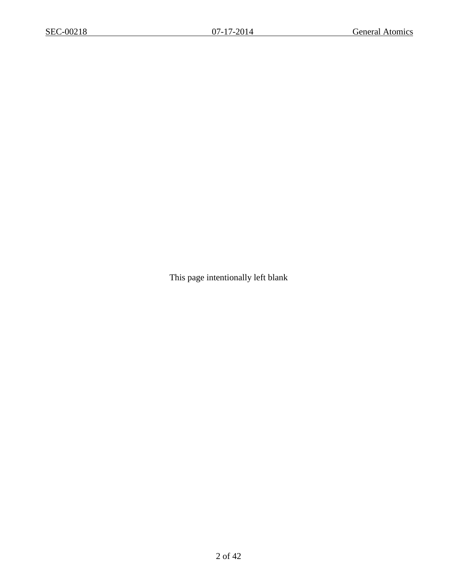This page intentionally left blank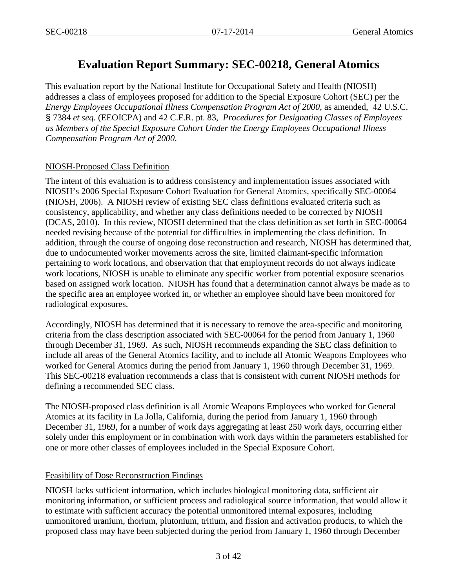### **Evaluation Report Summary: SEC-00218, General Atomics**

<span id="page-2-0"></span>This evaluation report by the National Institute for Occupational Safety and Health (NIOSH) addresses a class of employees proposed for addition to the Special Exposure Cohort (SEC) per the *Energy Employees Occupational Illness Compensation Program Act of 2000*, as amended, 42 U.S.C. § 7384 *et seq.* (EEOICPA) and 42 C.F.R. pt. 83, *Procedures for Designating Classes of Employees as Members of the Special Exposure Cohort Under the Energy Employees Occupational Illness Compensation Program Act of 2000*.

#### NIOSH-Proposed Class Definition

The intent of this evaluation is to address consistency and implementation issues associated with NIOSH's 2006 Special Exposure Cohort Evaluation for General Atomics, specifically SEC-00064 (NIOSH, 2006). A NIOSH review of existing SEC class definitions evaluated criteria such as consistency, applicability, and whether any class definitions needed to be corrected by NIOSH (DCAS, 2010). In this review, NIOSH determined that the class definition as set forth in SEC-00064 needed revising because of the potential for difficulties in implementing the class definition. In addition, through the course of ongoing dose reconstruction and research, NIOSH has determined that, due to undocumented worker movements across the site, limited claimant-specific information pertaining to work locations, and observation that that employment records do not always indicate work locations, NIOSH is unable to eliminate any specific worker from potential exposure scenarios based on assigned work location. NIOSH has found that a determination cannot always be made as to the specific area an employee worked in, or whether an employee should have been monitored for radiological exposures.

Accordingly, NIOSH has determined that it is necessary to remove the area-specific and monitoring criteria from the class description associated with SEC-00064 for the period from January 1, 1960 through December 31, 1969. As such, NIOSH recommends expanding the SEC class definition to include all areas of the General Atomics facility, and to include all Atomic Weapons Employees who worked for General Atomics during the period from January 1, 1960 through December 31, 1969. This SEC-00218 evaluation recommends a class that is consistent with current NIOSH methods for defining a recommended SEC class.

The NIOSH-proposed class definition is all Atomic Weapons Employees who worked for General Atomics at its facility in La Jolla, California, during the period from January 1, 1960 through December 31, 1969, for a number of work days aggregating at least 250 work days, occurring either solely under this employment or in combination with work days within the parameters established for one or more other classes of employees included in the Special Exposure Cohort.

#### Feasibility of Dose Reconstruction Findings

NIOSH lacks sufficient information, which includes biological monitoring data, sufficient air monitoring information, or sufficient process and radiological source information, that would allow it to estimate with sufficient accuracy the potential unmonitored internal exposures, including unmonitored uranium, thorium, plutonium, tritium, and fission and activation products, to which the proposed class may have been subjected during the period from January 1, 1960 through December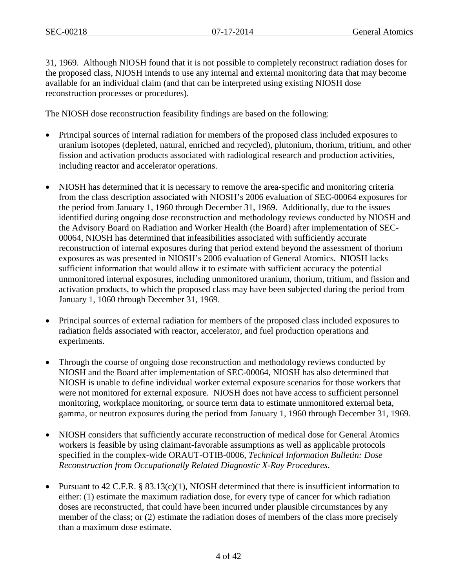31, 1969. Although NIOSH found that it is not possible to completely reconstruct radiation doses for the proposed class, NIOSH intends to use any internal and external monitoring data that may become available for an individual claim (and that can be interpreted using existing NIOSH dose reconstruction processes or procedures).

The NIOSH dose reconstruction feasibility findings are based on the following:

- Principal sources of internal radiation for members of the proposed class included exposures to uranium isotopes (depleted, natural, enriched and recycled), plutonium, thorium, tritium, and other fission and activation products associated with radiological research and production activities, including reactor and accelerator operations.
- NIOSH has determined that it is necessary to remove the area-specific and monitoring criteria from the class description associated with NIOSH's 2006 evaluation of SEC-00064 exposures for the period from January 1, 1960 through December 31, 1969. Additionally, due to the issues identified during ongoing dose reconstruction and methodology reviews conducted by NIOSH and the Advisory Board on Radiation and Worker Health (the Board) after implementation of SEC-00064, NIOSH has determined that infeasibilities associated with sufficiently accurate reconstruction of internal exposures during that period extend beyond the assessment of thorium exposures as was presented in NIOSH's 2006 evaluation of General Atomics. NIOSH lacks sufficient information that would allow it to estimate with sufficient accuracy the potential unmonitored internal exposures, including unmonitored uranium, thorium, tritium, and fission and activation products, to which the proposed class may have been subjected during the period from January 1, 1060 through December 31, 1969.
- Principal sources of external radiation for members of the proposed class included exposures to radiation fields associated with reactor, accelerator, and fuel production operations and experiments.
- Through the course of ongoing dose reconstruction and methodology reviews conducted by NIOSH and the Board after implementation of SEC-00064, NIOSH has also determined that NIOSH is unable to define individual worker external exposure scenarios for those workers that were not monitored for external exposure. NIOSH does not have access to sufficient personnel monitoring, workplace monitoring, or source term data to estimate unmonitored external beta, gamma, or neutron exposures during the period from January 1, 1960 through December 31, 1969.
- NIOSH considers that sufficiently accurate reconstruction of medical dose for General Atomics workers is feasible by using claimant-favorable assumptions as well as applicable protocols specified in the complex-wide ORAUT-OTIB-0006, *Technical Information Bulletin: Dose Reconstruction from Occupationally Related Diagnostic X-Ray Procedures*.
- Pursuant to 42 C.F.R. § 83.13(c)(1), NIOSH determined that there is insufficient information to either: (1) estimate the maximum radiation dose, for every type of cancer for which radiation doses are reconstructed, that could have been incurred under plausible circumstances by any member of the class; or (2) estimate the radiation doses of members of the class more precisely than a maximum dose estimate.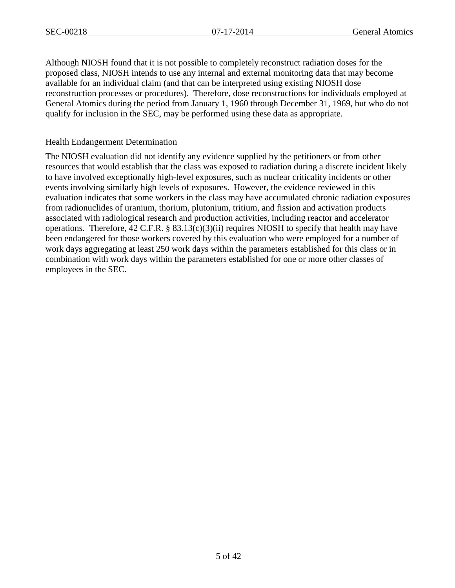Although NIOSH found that it is not possible to completely reconstruct radiation doses for the proposed class, NIOSH intends to use any internal and external monitoring data that may become available for an individual claim (and that can be interpreted using existing NIOSH dose reconstruction processes or procedures). Therefore, dose reconstructions for individuals employed at General Atomics during the period from January 1, 1960 through December 31, 1969, but who do not qualify for inclusion in the SEC, may be performed using these data as appropriate.

#### Health Endangerment Determination

The NIOSH evaluation did not identify any evidence supplied by the petitioners or from other resources that would establish that the class was exposed to radiation during a discrete incident likely to have involved exceptionally high-level exposures, such as nuclear criticality incidents or other events involving similarly high levels of exposures. However, the evidence reviewed in this evaluation indicates that some workers in the class may have accumulated chronic radiation exposures from radionuclides of uranium, thorium, plutonium, tritium, and fission and activation products associated with radiological research and production activities, including reactor and accelerator operations. Therefore,  $42$  C.F.R. §  $83.13(c)(3)(ii)$  requires NIOSH to specify that health may have been endangered for those workers covered by this evaluation who were employed for a number of work days aggregating at least 250 work days within the parameters established for this class or in combination with work days within the parameters established for one or more other classes of employees in the SEC.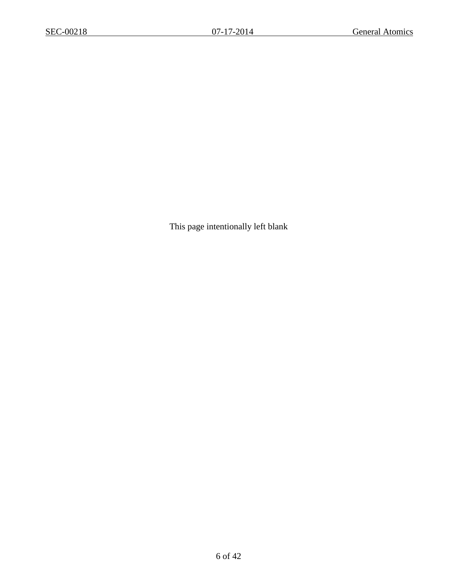This page intentionally left blank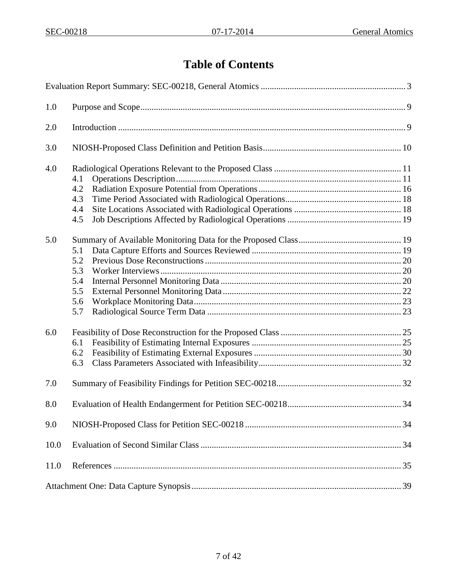# **Table of Contents**

| 1.0  |                                               |  |
|------|-----------------------------------------------|--|
| 2.0  |                                               |  |
| 3.0  |                                               |  |
| 4.0  | 4.1<br>4.2<br>4.3<br>4.4<br>4.5               |  |
| 5.0  | 5.1<br>5.2<br>5.3<br>5.4<br>5.5<br>5.6<br>5.7 |  |
| 6.0  | 6.1<br>6.2<br>6.3                             |  |
| 7.0  |                                               |  |
| 8.0  |                                               |  |
| 9.0  |                                               |  |
| 10.0 |                                               |  |
| 11.0 |                                               |  |
|      |                                               |  |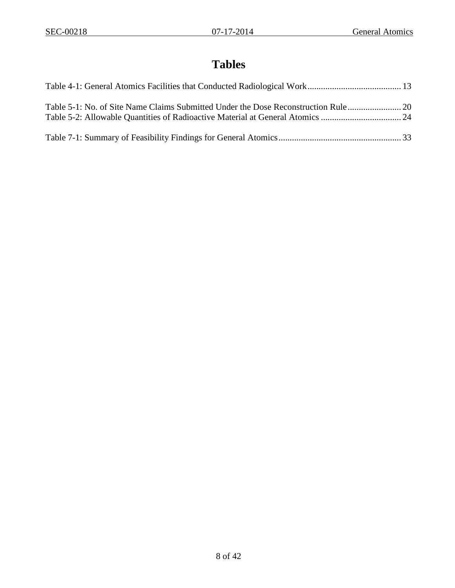# **Tables**

| Table 5-1: No. of Site Name Claims Submitted Under the Dose Reconstruction Rule |  |
|---------------------------------------------------------------------------------|--|
|                                                                                 |  |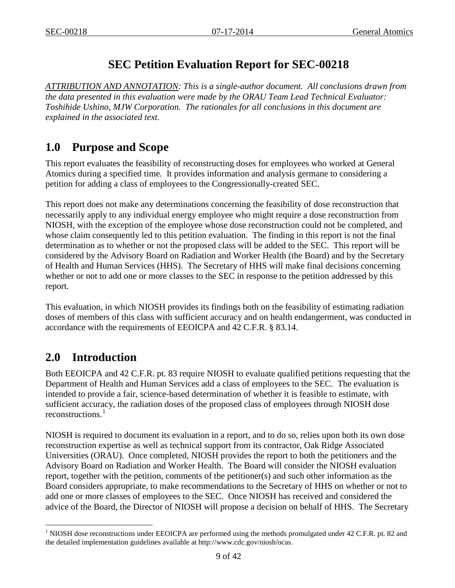## **SEC Petition Evaluation Report for SEC-00218**

*ATTRIBUTION AND ANNOTATION: This is a single-author document. All conclusions drawn from the data presented in this evaluation were made by the ORAU Team Lead Technical Evaluator: Toshihide Ushino, MJW Corporation. The rationales for all conclusions in this document are explained in the associated text.*

## <span id="page-8-0"></span>**1.0 Purpose and Scope**

This report evaluates the feasibility of reconstructing doses for employees who worked at General Atomics during a specified time. It provides information and analysis germane to considering a petition for adding a class of employees to the Congressionally-created SEC.

This report does not make any determinations concerning the feasibility of dose reconstruction that necessarily apply to any individual energy employee who might require a dose reconstruction from NIOSH, with the exception of the employee whose dose reconstruction could not be completed, and whose claim consequently led to this petition evaluation. The finding in this report is not the final determination as to whether or not the proposed class will be added to the SEC. This report will be considered by the Advisory Board on Radiation and Worker Health (the Board) and by the Secretary of Health and Human Services (HHS). The Secretary of HHS will make final decisions concerning whether or not to add one or more classes to the SEC in response to the petition addressed by this report.

This evaluation, in which NIOSH provides its findings both on the feasibility of estimating radiation doses of members of this class with sufficient accuracy and on health endangerment, was conducted in accordance with the requirements of EEOICPA and 42 C.F.R. § 83.14.

## <span id="page-8-1"></span>**2.0 Introduction**

Both EEOICPA and 42 C.F.R. pt. 83 require NIOSH to evaluate qualified petitions requesting that the Department of Health and Human Services add a class of employees to the SEC. The evaluation is intended to provide a fair, science-based determination of whether it is feasible to estimate, with sufficient accuracy, the radiation doses of the proposed class of employees through NIOSH dose reconstructions.<sup>[1](#page-8-2)</sup>

NIOSH is required to document its evaluation in a report, and to do so, relies upon both its own dose reconstruction expertise as well as technical support from its contractor, Oak Ridge Associated Universities (ORAU). Once completed, NIOSH provides the report to both the petitioners and the Advisory Board on Radiation and Worker Health. The Board will consider the NIOSH evaluation report, together with the petition, comments of the petitioner(s) and such other information as the Board considers appropriate, to make recommendations to the Secretary of HHS on whether or not to add one or more classes of employees to the SEC. Once NIOSH has received and considered the advice of the Board, the Director of NIOSH will propose a decision on behalf of HHS. The Secretary

<span id="page-8-2"></span><sup>&</sup>lt;sup>1</sup> NIOSH dose reconstructions under EEOICPA are performed using the methods promulgated under 42 C.F.R. pt. 82 and the detailed implementation guidelines available at http://www.cdc.gov/niosh/ocas.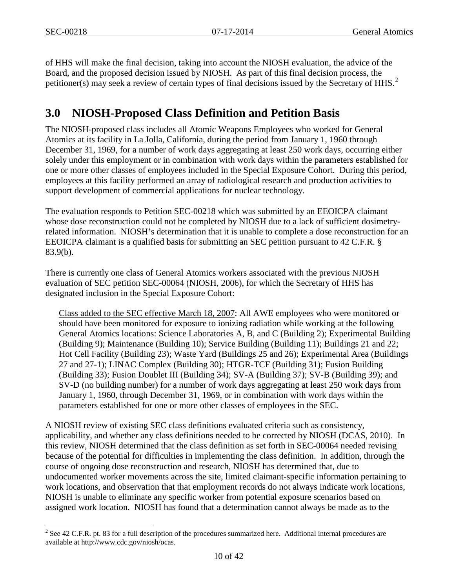of HHS will make the final decision, taking into account the NIOSH evaluation, the advice of the Board, and the proposed decision issued by NIOSH. As part of this final decision process, the petitioner(s) may seek a review of certain types of final decisions issued by the Secretary of HHS.<sup>[2](#page-9-1)</sup>

## <span id="page-9-0"></span>**3.0 NIOSH-Proposed Class Definition and Petition Basis**

The NIOSH-proposed class includes all Atomic Weapons Employees who worked for General Atomics at its facility in La Jolla, California, during the period from January 1, 1960 through December 31, 1969, for a number of work days aggregating at least 250 work days, occurring either solely under this employment or in combination with work days within the parameters established for one or more other classes of employees included in the Special Exposure Cohort. During this period, employees at this facility performed an array of radiological research and production activities to support development of commercial applications for nuclear technology.

The evaluation responds to Petition SEC-00218 which was submitted by an EEOICPA claimant whose dose reconstruction could not be completed by NIOSH due to a lack of sufficient dosimetryrelated information. NIOSH's determination that it is unable to complete a dose reconstruction for an EEOICPA claimant is a qualified basis for submitting an SEC petition pursuant to 42 C.F.R. § 83.9(b).

There is currently one class of General Atomics workers associated with the previous NIOSH evaluation of SEC petition SEC-00064 (NIOSH, 2006), for which the Secretary of HHS has designated inclusion in the Special Exposure Cohort:

Class added to the SEC effective March 18, 2007: All AWE employees who were monitored or should have been monitored for exposure to ionizing radiation while working at the following General Atomics locations: Science Laboratories A, B, and C (Building 2); Experimental Building (Building 9); Maintenance (Building 10); Service Building (Building 11); Buildings 21 and 22; Hot Cell Facility (Building 23); Waste Yard (Buildings 25 and 26); Experimental Area (Buildings 27 and 27-1); LINAC Complex (Building 30); HTGR-TCF (Building 31); Fusion Building (Building 33); Fusion Doublet III (Building 34); SV-A (Building 37); SV-B (Building 39); and SV-D (no building number) for a number of work days aggregating at least 250 work days from January 1, 1960, through December 31, 1969, or in combination with work days within the parameters established for one or more other classes of employees in the SEC.

A NIOSH review of existing SEC class definitions evaluated criteria such as consistency, applicability, and whether any class definitions needed to be corrected by NIOSH (DCAS, 2010). In this review, NIOSH determined that the class definition as set forth in SEC-00064 needed revising because of the potential for difficulties in implementing the class definition. In addition, through the course of ongoing dose reconstruction and research, NIOSH has determined that, due to undocumented worker movements across the site, limited claimant-specific information pertaining to work locations, and observation that that employment records do not always indicate work locations, NIOSH is unable to eliminate any specific worker from potential exposure scenarios based on assigned work location. NIOSH has found that a determination cannot always be made as to the

<span id="page-9-1"></span> $2$  See 42 C.F.R. pt. 83 for a full description of the procedures summarized here. Additional internal procedures are available at http://www.cdc.gov/niosh/ocas.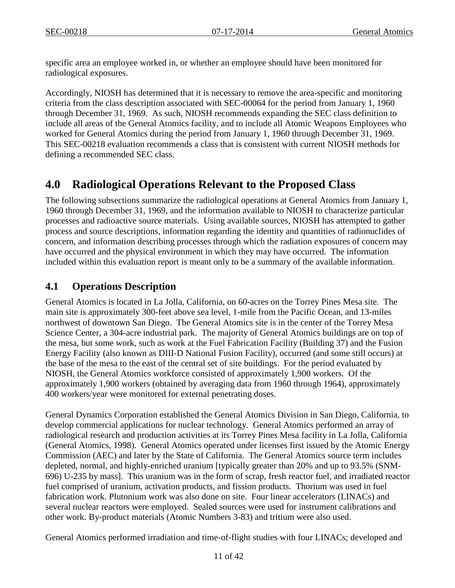specific area an employee worked in, or whether an employee should have been monitored for radiological exposures.

Accordingly, NIOSH has determined that it is necessary to remove the area-specific and monitoring criteria from the class description associated with SEC-00064 for the period from January 1, 1960 through December 31, 1969. As such, NIOSH recommends expanding the SEC class definition to include all areas of the General Atomics facility, and to include all Atomic Weapons Employees who worked for General Atomics during the period from January 1, 1960 through December 31, 1969. This SEC-00218 evaluation recommends a class that is consistent with current NIOSH methods for defining a recommended SEC class.

## <span id="page-10-0"></span>**4.0 Radiological Operations Relevant to the Proposed Class**

The following subsections summarize the radiological operations at General Atomics from January 1, 1960 through December 31, 1969, and the information available to NIOSH to characterize particular processes and radioactive source materials. Using available sources, NIOSH has attempted to gather process and source descriptions, information regarding the identity and quantities of radionuclides of concern, and information describing processes through which the radiation exposures of concern may have occurred and the physical environment in which they may have occurred. The information included within this evaluation report is meant only to be a summary of the available information.

### <span id="page-10-1"></span>**4.1 Operations Description**

General Atomics is located in La Jolla, California, on 60-acres on the Torrey Pines Mesa site. The main site is approximately 300-feet above sea level, 1-mile from the Pacific Ocean, and 13-miles northwest of downtown San Diego. The General Atomics site is in the center of the Torrey Mesa Science Center, a 304-acre industrial park. The majority of General Atomics buildings are on top of the mesa, but some work, such as work at the Fuel Fabrication Facility (Building 37) and the Fusion Energy Facility (also known as DIII-D National Fusion Facility), occurred (and some still occurs) at the base of the mesa to the east of the central set of site buildings. For the period evaluated by NIOSH, the General Atomics workforce consisted of approximately 1,900 workers. Of the approximately 1,900 workers (obtained by averaging data from 1960 through 1964), approximately 400 workers/year were monitored for external penetrating doses.

General Dynamics Corporation established the General Atomics Division in San Diego, California, to develop commercial applications for nuclear technology. General Atomics performed an array of radiological research and production activities at its Torrey Pines Mesa facility in La Jolla, California (General Atomics, 1998). General Atomics operated under licenses first issued by the Atomic Energy Commission (AEC) and later by the State of California. The General Atomics source term includes depleted, normal, and highly-enriched uranium [typically greater than 20% and up to 93.5% (SNM-696) U-235 by mass]. This uranium was in the form of scrap, fresh reactor fuel, and irradiated reactor fuel comprised of uranium, activation products, and fission products. Thorium was used in fuel fabrication work. Plutonium work was also done on site. Four linear accelerators (LINACs) and several nuclear reactors were employed. Sealed sources were used for instrument calibrations and other work. By-product materials (Atomic Numbers 3-83) and tritium were also used.

General Atomics performed irradiation and time-of-flight studies with four LINACs; developed and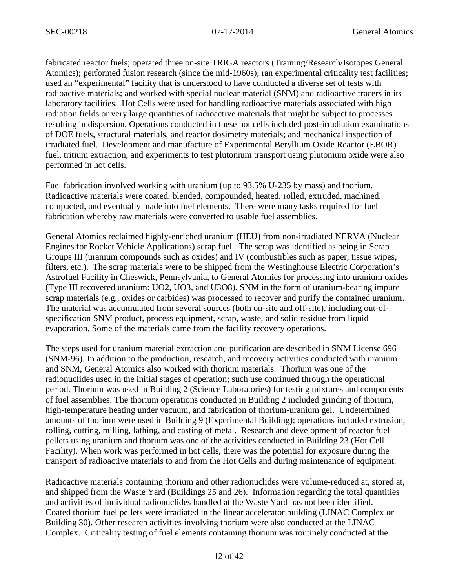fabricated reactor fuels; operated three on-site TRIGA reactors (Training/Research/Isotopes General Atomics); performed fusion research (since the mid-1960s); ran experimental criticality test facilities; used an "experimental" facility that is understood to have conducted a diverse set of tests with radioactive materials; and worked with special nuclear material (SNM) and radioactive tracers in its laboratory facilities. Hot Cells were used for handling radioactive materials associated with high radiation fields or very large quantities of radioactive materials that might be subject to processes resulting in dispersion. Operations conducted in these hot cells included post-irradiation examinations of DOE fuels, structural materials, and reactor dosimetry materials; and mechanical inspection of irradiated fuel. Development and manufacture of Experimental Beryllium Oxide Reactor (EBOR) fuel, tritium extraction, and experiments to test plutonium transport using plutonium oxide were also performed in hot cells.

Fuel fabrication involved working with uranium (up to 93.5% U-235 by mass) and thorium. Radioactive materials were coated, blended, compounded, heated, rolled, extruded, machined, compacted, and eventually made into fuel elements. There were many tasks required for fuel fabrication whereby raw materials were converted to usable fuel assemblies.

General Atomics reclaimed highly-enriched uranium (HEU) from non-irradiated NERVA (Nuclear Engines for Rocket Vehicle Applications) scrap fuel. The scrap was identified as being in Scrap Groups III (uranium compounds such as oxides) and IV (combustibles such as paper, tissue wipes, filters, etc.). The scrap materials were to be shipped from the Westinghouse Electric Corporation's Astrofuel Facility in Cheswick, Pennsylvania, to General Atomics for processing into uranium oxides (Type III recovered uranium: UO2, UO3, and U3O8). SNM in the form of uranium-bearing impure scrap materials (e.g., oxides or carbides) was processed to recover and purify the contained uranium. The material was accumulated from several sources (both on-site and off-site), including out-ofspecification SNM product, process equipment, scrap, waste, and solid residue from liquid evaporation. Some of the materials came from the facility recovery operations.

The steps used for uranium material extraction and purification are described in SNM License 696 (SNM-96). In addition to the production, research, and recovery activities conducted with uranium and SNM, General Atomics also worked with thorium materials. Thorium was one of the radionuclides used in the initial stages of operation; such use continued through the operational period. Thorium was used in Building 2 (Science Laboratories) for testing mixtures and components of fuel assemblies. The thorium operations conducted in Building 2 included grinding of thorium, high-temperature heating under vacuum, and fabrication of thorium-uranium gel. Undetermined amounts of thorium were used in Building 9 (Experimental Building); operations included extrusion, rolling, cutting, milling, lathing, and casting of metal. Research and development of reactor fuel pellets using uranium and thorium was one of the activities conducted in Building 23 (Hot Cell Facility). When work was performed in hot cells, there was the potential for exposure during the transport of radioactive materials to and from the Hot Cells and during maintenance of equipment.

Radioactive materials containing thorium and other radionuclides were volume-reduced at, stored at, and shipped from the Waste Yard (Buildings 25 and 26). Information regarding the total quantities and activities of individual radionuclides handled at the Waste Yard has not been identified. Coated thorium fuel pellets were irradiated in the linear accelerator building (LINAC Complex or Building 30). Other research activities involving thorium were also conducted at the LINAC Complex. Criticality testing of fuel elements containing thorium was routinely conducted at the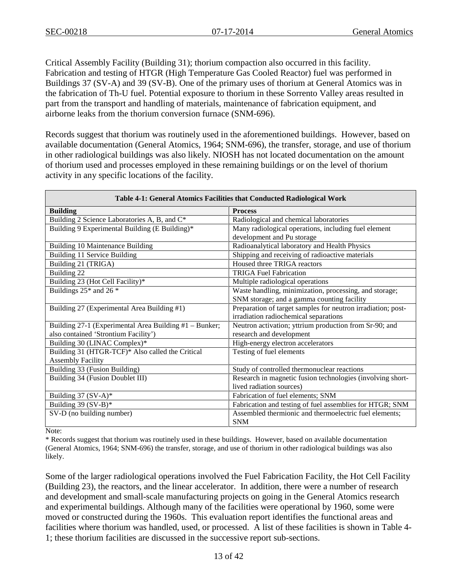Critical Assembly Facility (Building 31); thorium compaction also occurred in this facility. Fabrication and testing of HTGR (High Temperature Gas Cooled Reactor) fuel was performed in Buildings 37 (SV-A) and 39 (SV-B). One of the primary uses of thorium at General Atomics was in the fabrication of Th-U fuel. Potential exposure to thorium in these Sorrento Valley areas resulted in part from the transport and handling of materials, maintenance of fabrication equipment, and airborne leaks from the thorium conversion furnace (SNM-696).

Records suggest that thorium was routinely used in the aforementioned buildings. However, based on available documentation (General Atomics, 1964; SNM-696), the transfer, storage, and use of thorium in other radiological buildings was also likely. NIOSH has not located documentation on the amount of thorium used and processes employed in these remaining buildings or on the level of thorium activity in any specific locations of the facility.

| Table 4-1: General Atomics Facilities that Conducted Radiological Work |                                                              |  |  |
|------------------------------------------------------------------------|--------------------------------------------------------------|--|--|
| <b>Building</b>                                                        | <b>Process</b>                                               |  |  |
| Building 2 Science Laboratories A, B, and C*                           | Radiological and chemical laboratories                       |  |  |
| Building 9 Experimental Building (E Building)*                         | Many radiological operations, including fuel element         |  |  |
|                                                                        | development and Pu storage                                   |  |  |
| Building 10 Maintenance Building                                       | Radioanalytical laboratory and Health Physics                |  |  |
| Building 11 Service Building                                           | Shipping and receiving of radioactive materials              |  |  |
| Building 21 (TRIGA)                                                    | Housed three TRIGA reactors                                  |  |  |
| Building 22                                                            | <b>TRIGA Fuel Fabrication</b>                                |  |  |
| Building 23 (Hot Cell Facility)*                                       | Multiple radiological operations                             |  |  |
| Buildings $25*$ and $26*$                                              | Waste handling, minimization, processing, and storage;       |  |  |
|                                                                        | SNM storage; and a gamma counting facility                   |  |  |
| Building 27 (Experimental Area Building #1)                            | Preparation of target samples for neutron irradiation; post- |  |  |
|                                                                        | irradiation radiochemical separations                        |  |  |
| Building 27-1 (Experimental Area Building #1 – Bunker;                 | Neutron activation; yttrium production from Sr-90; and       |  |  |
| also contained 'Strontium Facility')                                   | research and development                                     |  |  |
| Building 30 (LINAC Complex)*                                           | High-energy electron accelerators                            |  |  |
| Building 31 (HTGR-TCF)* Also called the Critical                       | Testing of fuel elements                                     |  |  |
| <b>Assembly Facility</b>                                               |                                                              |  |  |
| Building 33 (Fusion Building)                                          | Study of controlled thermonuclear reactions                  |  |  |
| Building 34 (Fusion Doublet III)                                       | Research in magnetic fusion technologies (involving short-   |  |  |
|                                                                        | lived radiation sources)                                     |  |  |
| Building 37 (SV-A)*                                                    | Fabrication of fuel elements; SNM                            |  |  |
| Building 39 (SV-B)*                                                    | Fabrication and testing of fuel assemblies for HTGR; SNM     |  |  |
| SV-D (no building number)                                              | Assembled thermionic and thermoelectric fuel elements;       |  |  |
|                                                                        | <b>SNM</b>                                                   |  |  |

Note:

\* Records suggest that thorium was routinely used in these buildings. However, based on available documentation (General Atomics, 1964; SNM-696) the transfer, storage, and use of thorium in other radiological buildings was also likely.

Some of the larger radiological operations involved the Fuel Fabrication Facility, the Hot Cell Facility (Building 23), the reactors, and the linear accelerator. In addition, there were a number of research and development and small-scale manufacturing projects on going in the General Atomics research and experimental buildings. Although many of the facilities were operational by 1960, some were moved or constructed during the 1960s. This evaluation report identifies the functional areas and facilities where thorium was handled, used, or processed. A list of these facilities is shown in Table 4- 1; these thorium facilities are discussed in the successive report sub-sections.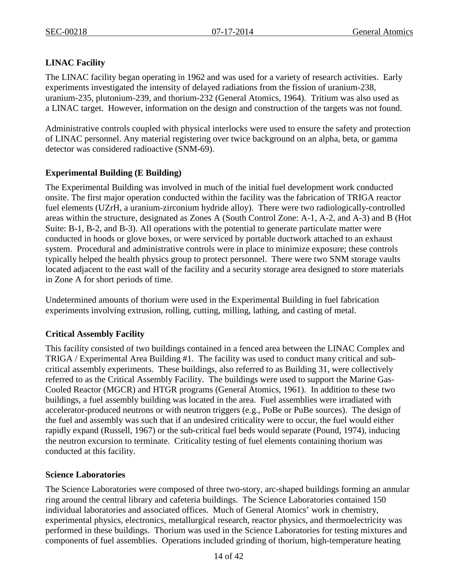#### **LINAC Facility**

The LINAC facility began operating in 1962 and was used for a variety of research activities. Early experiments investigated the intensity of delayed radiations from the fission of uranium-238, uranium-235, plutonium-239, and thorium-232 (General Atomics, 1964). Tritium was also used as a LINAC target. However, information on the design and construction of the targets was not found.

Administrative controls coupled with physical interlocks were used to ensure the safety and protection of LINAC personnel. Any material registering over twice background on an alpha, beta, or gamma detector was considered radioactive (SNM-69).

#### **Experimental Building (E Building)**

The Experimental Building was involved in much of the initial fuel development work conducted onsite. The first major operation conducted within the facility was the fabrication of TRIGA reactor fuel elements (UZrH, a uranium-zirconium hydride alloy). There were two radiologically-controlled areas within the structure, designated as Zones A (South Control Zone: A-1, A-2, and A-3) and B (Hot Suite: B-1, B-2, and B-3). All operations with the potential to generate particulate matter were conducted in hoods or glove boxes, or were serviced by portable ductwork attached to an exhaust system. Procedural and administrative controls were in place to minimize exposure; these controls typically helped the health physics group to protect personnel. There were two SNM storage vaults located adjacent to the east wall of the facility and a security storage area designed to store materials in Zone A for short periods of time.

Undetermined amounts of thorium were used in the Experimental Building in fuel fabrication experiments involving extrusion, rolling, cutting, milling, lathing, and casting of metal.

#### **Critical Assembly Facility**

This facility consisted of two buildings contained in a fenced area between the LINAC Complex and TRIGA / Experimental Area Building #1. The facility was used to conduct many critical and subcritical assembly experiments. These buildings, also referred to as Building 31, were collectively referred to as the Critical Assembly Facility. The buildings were used to support the Marine Gas-Cooled Reactor (MGCR) and HTGR programs (General Atomics, 1961). In addition to these two buildings, a fuel assembly building was located in the area. Fuel assemblies were irradiated with accelerator-produced neutrons or with neutron triggers (e.g., PoBe or PuBe sources). The design of the fuel and assembly was such that if an undesired criticality were to occur, the fuel would either rapidly expand (Russell, 1967) or the sub-critical fuel beds would separate (Pound, 1974), inducing the neutron excursion to terminate. Criticality testing of fuel elements containing thorium was conducted at this facility.

#### **Science Laboratories**

The Science Laboratories were composed of three two-story, arc-shaped buildings forming an annular ring around the central library and cafeteria buildings. The Science Laboratories contained 150 individual laboratories and associated offices. Much of General Atomics' work in chemistry, experimental physics, electronics, metallurgical research, reactor physics, and thermoelectricity was performed in these buildings. Thorium was used in the Science Laboratories for testing mixtures and components of fuel assemblies. Operations included grinding of thorium, high-temperature heating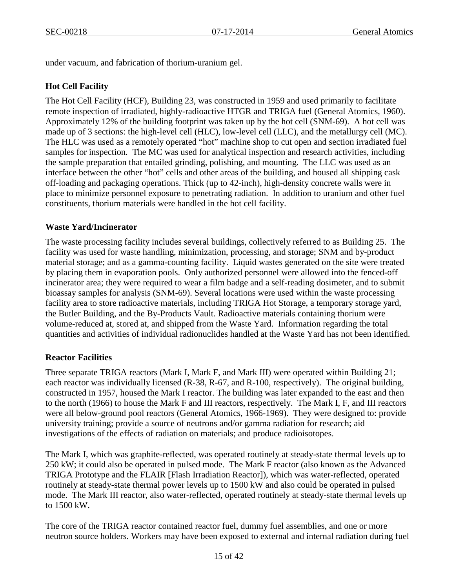under vacuum, and fabrication of thorium-uranium gel.

#### **Hot Cell Facility**

The Hot Cell Facility (HCF), Building 23, was constructed in 1959 and used primarily to facilitate remote inspection of irradiated, highly-radioactive HTGR and TRIGA fuel (General Atomics, 1960). Approximately 12% of the building footprint was taken up by the hot cell (SNM-69). A hot cell was made up of 3 sections: the high-level cell (HLC), low-level cell (LLC), and the metallurgy cell (MC). The HLC was used as a remotely operated "hot" machine shop to cut open and section irradiated fuel samples for inspection. The MC was used for analytical inspection and research activities, including the sample preparation that entailed grinding, polishing, and mounting. The LLC was used as an interface between the other "hot" cells and other areas of the building, and housed all shipping cask off-loading and packaging operations. Thick (up to 42-inch), high-density concrete walls were in place to minimize personnel exposure to penetrating radiation. In addition to uranium and other fuel constituents, thorium materials were handled in the hot cell facility.

#### **Waste Yard/Incinerator**

The waste processing facility includes several buildings, collectively referred to as Building 25. The facility was used for waste handling, minimization, processing, and storage; SNM and by-product material storage; and as a gamma-counting facility. Liquid wastes generated on the site were treated by placing them in evaporation pools. Only authorized personnel were allowed into the fenced-off incinerator area; they were required to wear a film badge and a self-reading dosimeter, and to submit bioassay samples for analysis (SNM-69). Several locations were used within the waste processing facility area to store radioactive materials, including TRIGA Hot Storage, a temporary storage yard, the Butler Building, and the By-Products Vault. Radioactive materials containing thorium were volume-reduced at, stored at, and shipped from the Waste Yard. Information regarding the total quantities and activities of individual radionuclides handled at the Waste Yard has not been identified.

#### **Reactor Facilities**

Three separate TRIGA reactors (Mark I, Mark F, and Mark III) were operated within Building 21; each reactor was individually licensed (R-38, R-67, and R-100, respectively). The original building, constructed in 1957, housed the Mark I reactor. The building was later expanded to the east and then to the north (1966) to house the Mark F and III reactors, respectively. The Mark I, F, and III reactors were all below-ground pool reactors (General Atomics, 1966-1969). They were designed to: provide university training; provide a source of neutrons and/or gamma radiation for research; aid investigations of the effects of radiation on materials; and produce radioisotopes.

The Mark I, which was graphite-reflected, was operated routinely at steady-state thermal levels up to 250 kW; it could also be operated in pulsed mode. The Mark F reactor (also known as the Advanced TRIGA Prototype and the FLAIR [Flash Irradiation Reactor]), which was water-reflected, operated routinely at steady-state thermal power levels up to 1500 kW and also could be operated in pulsed mode. The Mark III reactor, also water-reflected, operated routinely at steady-state thermal levels up to 1500 kW.

The core of the TRIGA reactor contained reactor fuel, dummy fuel assemblies, and one or more neutron source holders. Workers may have been exposed to external and internal radiation during fuel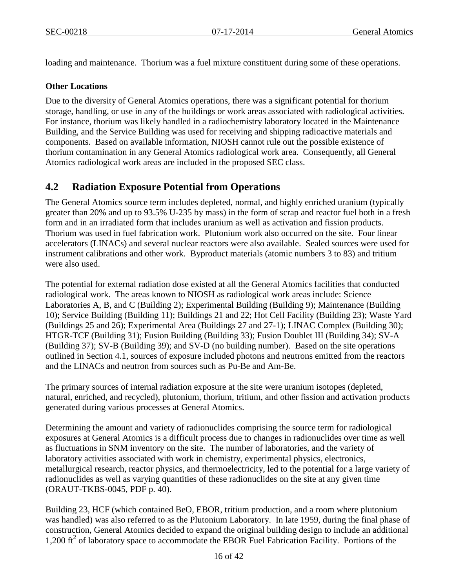loading and maintenance. Thorium was a fuel mixture constituent during some of these operations.

#### **Other Locations**

Due to the diversity of General Atomics operations, there was a significant potential for thorium storage, handling, or use in any of the buildings or work areas associated with radiological activities. For instance, thorium was likely handled in a radiochemistry laboratory located in the Maintenance Building, and the Service Building was used for receiving and shipping radioactive materials and components. Based on available information, NIOSH cannot rule out the possible existence of thorium contamination in any General Atomics radiological work area. Consequently, all General Atomics radiological work areas are included in the proposed SEC class.

### <span id="page-15-0"></span>**4.2 Radiation Exposure Potential from Operations**

The General Atomics source term includes depleted, normal, and highly enriched uranium (typically greater than 20% and up to 93.5% U-235 by mass) in the form of scrap and reactor fuel both in a fresh form and in an irradiated form that includes uranium as well as activation and fission products. Thorium was used in fuel fabrication work. Plutonium work also occurred on the site. Four linear accelerators (LINACs) and several nuclear reactors were also available. Sealed sources were used for instrument calibrations and other work. Byproduct materials (atomic numbers 3 to 83) and tritium were also used.

The potential for external radiation dose existed at all the General Atomics facilities that conducted radiological work. The areas known to NIOSH as radiological work areas include: Science Laboratories A, B, and C (Building 2); Experimental Building (Building 9); Maintenance (Building 10); Service Building (Building 11); Buildings 21 and 22; Hot Cell Facility (Building 23); Waste Yard (Buildings 25 and 26); Experimental Area (Buildings 27 and 27-1); LINAC Complex (Building 30); HTGR-TCF (Building 31); Fusion Building (Building 33); Fusion Doublet III (Building 34); SV-A (Building 37); SV-B (Building 39); and SV-D (no building number). Based on the site operations outlined in Section 4.1, sources of exposure included photons and neutrons emitted from the reactors and the LINACs and neutron from sources such as Pu-Be and Am-Be.

The primary sources of internal radiation exposure at the site were uranium isotopes (depleted, natural, enriched, and recycled), plutonium, thorium, tritium, and other fission and activation products generated during various processes at General Atomics.

Determining the amount and variety of radionuclides comprising the source term for radiological exposures at General Atomics is a difficult process due to changes in radionuclides over time as well as fluctuations in SNM inventory on the site. The number of laboratories, and the variety of laboratory activities associated with work in chemistry, experimental physics, electronics, metallurgical research, reactor physics, and thermoelectricity, led to the potential for a large variety of radionuclides as well as varying quantities of these radionuclides on the site at any given time (ORAUT-TKBS-0045, PDF p. 40).

Building 23, HCF (which contained BeO, EBOR, tritium production, and a room where plutonium was handled) was also referred to as the Plutonium Laboratory. In late 1959, during the final phase of construction, General Atomics decided to expand the original building design to include an additional  $1,200$  ft<sup>2</sup> of laboratory space to accommodate the EBOR Fuel Fabrication Facility. Portions of the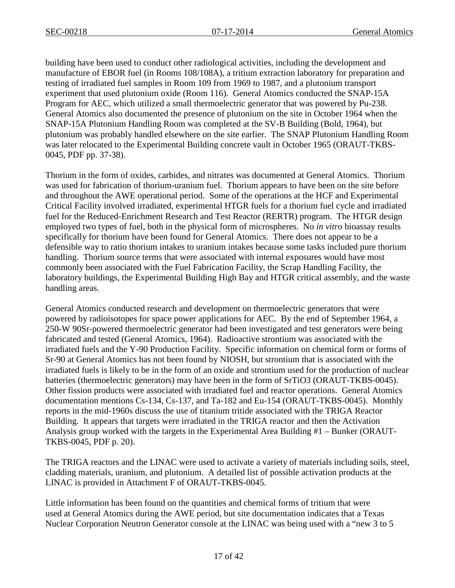building have been used to conduct other radiological activities, including the development and manufacture of EBOR fuel (in Rooms 108/108A), a tritium extraction laboratory for preparation and testing of irradiated fuel samples in Room 109 from 1969 to 1987, and a plutonium transport experiment that used plutonium oxide (Room 116). General Atomics conducted the SNAP-15A Program for AEC, which utilized a small thermoelectric generator that was powered by Pu-238. General Atomics also documented the presence of plutonium on the site in October 1964 when the SNAP-15A Plutonium Handling Room was completed at the SV-B Building (Bold, 1964), but plutonium was probably handled elsewhere on the site earlier. The SNAP Plutonium Handling Room was later relocated to the Experimental Building concrete vault in October 1965 (ORAUT-TKBS-0045, PDF pp. 37-38).

Thorium in the form of oxides, carbides, and nitrates was documented at General Atomics. Thorium was used for fabrication of thorium-uranium fuel. Thorium appears to have been on the site before and throughout the AWE operational period. Some of the operations at the HCF and Experimental Critical Facility involved irradiated, experimental HTGR fuels for a thorium fuel cycle and irradiated fuel for the Reduced-Enrichment Research and Test Reactor (RERTR) program. The HTGR design employed two types of fuel, both in the physical form of microspheres. No *in vitro* bioassay results specifically for thorium have been found for General Atomics. There does not appear to be a defensible way to ratio thorium intakes to uranium intakes because some tasks included pure thorium handling. Thorium source terms that were associated with internal exposures would have most commonly been associated with the Fuel Fabrication Facility, the Scrap Handling Facility, the laboratory buildings, the Experimental Building High Bay and HTGR critical assembly, and the waste handling areas.

General Atomics conducted research and development on thermoelectric generators that were powered by radioisotopes for space power applications for AEC. By the end of September 1964, a 250-W 90Sr-powered thermoelectric generator had been investigated and test generators were being fabricated and tested (General Atomics, 1964). Radioactive strontium was associated with the irradiated fuels and the Y-90 Production Facility. Specific information on chemical form or forms of Sr-90 at General Atomics has not been found by NIOSH, but strontium that is associated with the irradiated fuels is likely to be in the form of an oxide and strontium used for the production of nuclear batteries (thermoelectric generators) may have been in the form of SrTiO3 (ORAUT-TKBS-0045). Other fission products were associated with irradiated fuel and reactor operations. General Atomics documentation mentions Cs-134, Cs-137, and Ta-182 and Eu-154 (ORAUT-TKBS-0045). Monthly reports in the mid-1960s discuss the use of titanium tritide associated with the TRIGA Reactor Building. It appears that targets were irradiated in the TRIGA reactor and then the Activation Analysis group worked with the targets in the Experimental Area Building #1 – Bunker (ORAUT-TKBS-0045, PDF p. 20).

The TRIGA reactors and the LINAC were used to activate a variety of materials including soils, steel, cladding materials, uranium, and plutonium. A detailed list of possible activation products at the LINAC is provided in Attachment F of ORAUT-TKBS-0045.

Little information has been found on the quantities and chemical forms of tritium that were used at General Atomics during the AWE period, but site documentation indicates that a Texas Nuclear Corporation Neutron Generator console at the LINAC was being used with a "new 3 to 5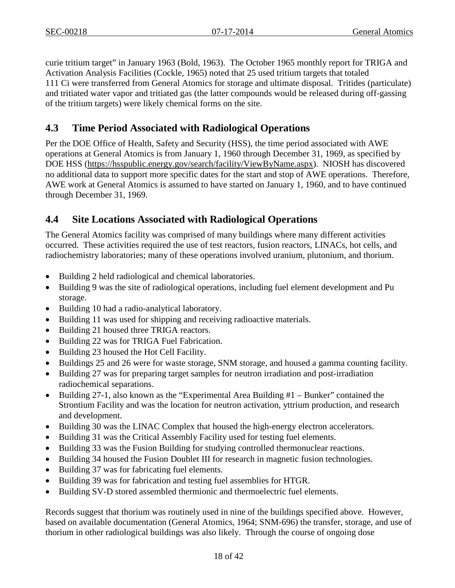curie tritium target" in January 1963 (Bold, 1963). The October 1965 monthly report for TRIGA and Activation Analysis Facilities (Cockle, 1965) noted that 25 used tritium targets that totaled 111 Ci were transferred from General Atomics for storage and ultimate disposal. Tritides (particulate) and tritiated water vapor and tritiated gas (the latter compounds would be released during off-gassing of the tritium targets) were likely chemical forms on the site.

### <span id="page-17-0"></span>**4.3 Time Period Associated with Radiological Operations**

Per the DOE Office of Health, Safety and Security (HSS), the time period associated with AWE operations at General Atomics is from January 1, 1960 through December 31, 1969, as specified by DOE HSS [\(https://hsspublic.energy.gov/search/facility/ViewByName.aspx\)](https://hsspublic.energy.gov/search/facility/ViewByName.aspx). NIOSH has discovered no additional data to support more specific dates for the start and stop of AWE operations. Therefore, AWE work at General Atomics is assumed to have started on January 1, 1960, and to have continued through December 31, 1969.

### <span id="page-17-1"></span>**4.4 Site Locations Associated with Radiological Operations**

The General Atomics facility was comprised of many buildings where many different activities occurred. These activities required the use of test reactors, fusion reactors, LINACs, hot cells, and radiochemistry laboratories; many of these operations involved uranium, plutonium, and thorium.

- Building 2 held radiological and chemical laboratories.
- Building 9 was the site of radiological operations, including fuel element development and Pu storage.
- Building 10 had a radio-analytical laboratory.
- Building 11 was used for shipping and receiving radioactive materials.
- Building 21 housed three TRIGA reactors.
- Building 22 was for TRIGA Fuel Fabrication.
- Building 23 housed the Hot Cell Facility.
- Buildings 25 and 26 were for waste storage, SNM storage, and housed a gamma counting facility.
- Building 27 was for preparing target samples for neutron irradiation and post-irradiation radiochemical separations.
- Building 27-1, also known as the "Experimental Area Building #1 Bunker" contained the Strontium Facility and was the location for neutron activation, yttrium production, and research and development.
- Building 30 was the LINAC Complex that housed the high-energy electron accelerators.
- Building 31 was the Critical Assembly Facility used for testing fuel elements.
- Building 33 was the Fusion Building for studying controlled thermonuclear reactions.
- Building 34 housed the Fusion Doublet III for research in magnetic fusion technologies.
- Building 37 was for fabricating fuel elements.
- Building 39 was for fabrication and testing fuel assemblies for HTGR.
- Building SV-D stored assembled thermionic and thermoelectric fuel elements.

Records suggest that thorium was routinely used in nine of the buildings specified above. However, based on available documentation (General Atomics, 1964; SNM-696) the transfer, storage, and use of thorium in other radiological buildings was also likely. Through the course of ongoing dose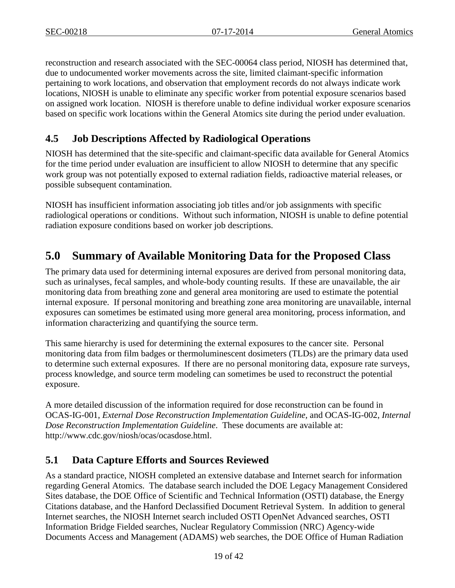reconstruction and research associated with the SEC-00064 class period, NIOSH has determined that, due to undocumented worker movements across the site, limited claimant-specific information pertaining to work locations, and observation that employment records do not always indicate work locations, NIOSH is unable to eliminate any specific worker from potential exposure scenarios based on assigned work location. NIOSH is therefore unable to define individual worker exposure scenarios based on specific work locations within the General Atomics site during the period under evaluation.

### <span id="page-18-0"></span>**4.5 Job Descriptions Affected by Radiological Operations**

NIOSH has determined that the site-specific and claimant-specific data available for General Atomics for the time period under evaluation are insufficient to allow NIOSH to determine that any specific work group was not potentially exposed to external radiation fields, radioactive material releases, or possible subsequent contamination.

NIOSH has insufficient information associating job titles and/or job assignments with specific radiological operations or conditions. Without such information, NIOSH is unable to define potential radiation exposure conditions based on worker job descriptions.

## <span id="page-18-1"></span>**5.0 Summary of Available Monitoring Data for the Proposed Class**

The primary data used for determining internal exposures are derived from personal monitoring data, such as urinalyses, fecal samples, and whole-body counting results. If these are unavailable, the air monitoring data from breathing zone and general area monitoring are used to estimate the potential internal exposure. If personal monitoring and breathing zone area monitoring are unavailable, internal exposures can sometimes be estimated using more general area monitoring, process information, and information characterizing and quantifying the source term.

This same hierarchy is used for determining the external exposures to the cancer site. Personal monitoring data from film badges or thermoluminescent dosimeters (TLDs) are the primary data used to determine such external exposures. If there are no personal monitoring data, exposure rate surveys, process knowledge, and source term modeling can sometimes be used to reconstruct the potential exposure.

A more detailed discussion of the information required for dose reconstruction can be found in OCAS-IG-001, *External Dose Reconstruction Implementation Guideline,* and OCAS-IG-002, *Internal Dose Reconstruction Implementation Guideline*. These documents are available at: http://www.cdc.gov/niosh/ocas/ocasdose.html.

### <span id="page-18-2"></span>**5.1 Data Capture Efforts and Sources Reviewed**

As a standard practice, NIOSH completed an extensive database and Internet search for information regarding General Atomics. The database search included the DOE Legacy Management Considered Sites database, the DOE Office of Scientific and Technical Information (OSTI) database, the Energy Citations database, and the Hanford Declassified Document Retrieval System. In addition to general Internet searches, the NIOSH Internet search included OSTI OpenNet Advanced searches, OSTI Information Bridge Fielded searches, Nuclear Regulatory Commission (NRC) Agency-wide Documents Access and Management (ADAMS) web searches, the DOE Office of Human Radiation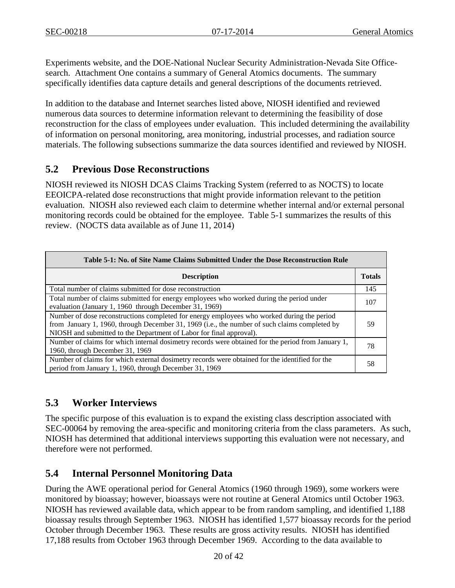Experiments website, and the DOE-National Nuclear Security Administration-Nevada Site Officesearch. Attachment One contains a summary of General Atomics documents. The summary specifically identifies data capture details and general descriptions of the documents retrieved.

In addition to the database and Internet searches listed above, NIOSH identified and reviewed numerous data sources to determine information relevant to determining the feasibility of dose reconstruction for the class of employees under evaluation. This included determining the availability of information on personal monitoring, area monitoring, industrial processes, and radiation source materials. The following subsections summarize the data sources identified and reviewed by NIOSH.

### <span id="page-19-0"></span>**5.2 Previous Dose Reconstructions**

NIOSH reviewed its NIOSH DCAS Claims Tracking System (referred to as NOCTS) to locate EEOICPA-related dose reconstructions that might provide information relevant to the petition evaluation. NIOSH also reviewed each claim to determine whether internal and/or external personal monitoring records could be obtained for the employee. Table 5-1 summarizes the results of this review. (NOCTS data available as of June 11, 2014)

| Table 5-1: No. of Site Name Claims Submitted Under the Dose Reconstruction Rule                                                                                                                                                                                    |               |
|--------------------------------------------------------------------------------------------------------------------------------------------------------------------------------------------------------------------------------------------------------------------|---------------|
| <b>Description</b>                                                                                                                                                                                                                                                 | <b>Totals</b> |
| Total number of claims submitted for dose reconstruction                                                                                                                                                                                                           | 145           |
| Total number of claims submitted for energy employees who worked during the period under<br>evaluation (January 1, 1960 through December 31, 1969)                                                                                                                 | 107           |
| Number of dose reconstructions completed for energy employees who worked during the period<br>from January 1, 1960, through December 31, 1969 (i.e., the number of such claims completed by<br>NIOSH and submitted to the Department of Labor for final approval). | 59            |
| Number of claims for which internal dosimetry records were obtained for the period from January 1,<br>1960, through December 31, 1969                                                                                                                              | 78            |
| Number of claims for which external dosimetry records were obtained for the identified for the<br>period from January 1, 1960, through December 31, 1969                                                                                                           | 58            |

### <span id="page-19-1"></span>**5.3 Worker Interviews**

The specific purpose of this evaluation is to expand the existing class description associated with SEC-00064 by removing the area-specific and monitoring criteria from the class parameters. As such, NIOSH has determined that additional interviews supporting this evaluation were not necessary, and therefore were not performed.

### <span id="page-19-2"></span>**5.4 Internal Personnel Monitoring Data**

During the AWE operational period for General Atomics (1960 through 1969), some workers were monitored by bioassay; however, bioassays were not routine at General Atomics until October 1963. NIOSH has reviewed available data, which appear to be from random sampling, and identified 1,188 bioassay results through September 1963. NIOSH has identified 1,577 bioassay records for the period October through December 1963. These results are gross activity results. NIOSH has identified 17,188 results from October 1963 through December 1969. According to the data available to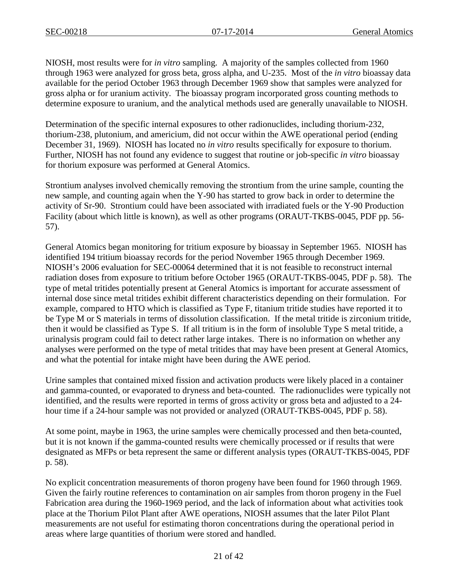NIOSH, most results were for *in vitro* sampling. A majority of the samples collected from 1960 through 1963 were analyzed for gross beta, gross alpha, and U-235. Most of the *in vitro* bioassay data available for the period October 1963 through December 1969 show that samples were analyzed for gross alpha or for uranium activity. The bioassay program incorporated gross counting methods to determine exposure to uranium, and the analytical methods used are generally unavailable to NIOSH.

Determination of the specific internal exposures to other radionuclides, including thorium-232, thorium-238, plutonium, and americium, did not occur within the AWE operational period (ending December 31, 1969). NIOSH has located no *in vitro* results specifically for exposure to thorium. Further, NIOSH has not found any evidence to suggest that routine or job-specific *in vitro* bioassay for thorium exposure was performed at General Atomics.

Strontium analyses involved chemically removing the strontium from the urine sample, counting the new sample, and counting again when the Y-90 has started to grow back in order to determine the activity of Sr-90. Strontium could have been associated with irradiated fuels or the Y-90 Production Facility (about which little is known), as well as other programs (ORAUT-TKBS-0045, PDF pp. 56- 57).

General Atomics began monitoring for tritium exposure by bioassay in September 1965. NIOSH has identified 194 tritium bioassay records for the period November 1965 through December 1969. NIOSH's 2006 evaluation for SEC-00064 determined that it is not feasible to reconstruct internal radiation doses from exposure to tritium before October 1965 (ORAUT-TKBS-0045, PDF p. 58). The type of metal tritides potentially present at General Atomics is important for accurate assessment of internal dose since metal tritides exhibit different characteristics depending on their formulation. For example, compared to HTO which is classified as Type F, titanium tritide studies have reported it to be Type M or S materials in terms of dissolution classification. If the metal tritide is zirconium tritide, then it would be classified as Type S. If all tritium is in the form of insoluble Type S metal tritide, a urinalysis program could fail to detect rather large intakes. There is no information on whether any analyses were performed on the type of metal tritides that may have been present at General Atomics, and what the potential for intake might have been during the AWE period.

Urine samples that contained mixed fission and activation products were likely placed in a container and gamma-counted, or evaporated to dryness and beta-counted. The radionuclides were typically not identified, and the results were reported in terms of gross activity or gross beta and adjusted to a 24 hour time if a 24-hour sample was not provided or analyzed (ORAUT-TKBS-0045, PDF p. 58).

At some point, maybe in 1963, the urine samples were chemically processed and then beta-counted, but it is not known if the gamma-counted results were chemically processed or if results that were designated as MFPs or beta represent the same or different analysis types (ORAUT-TKBS-0045, PDF p. 58).

No explicit concentration measurements of thoron progeny have been found for 1960 through 1969. Given the fairly routine references to contamination on air samples from thoron progeny in the Fuel Fabrication area during the 1960-1969 period, and the lack of information about what activities took place at the Thorium Pilot Plant after AWE operations, NIOSH assumes that the later Pilot Plant measurements are not useful for estimating thoron concentrations during the operational period in areas where large quantities of thorium were stored and handled.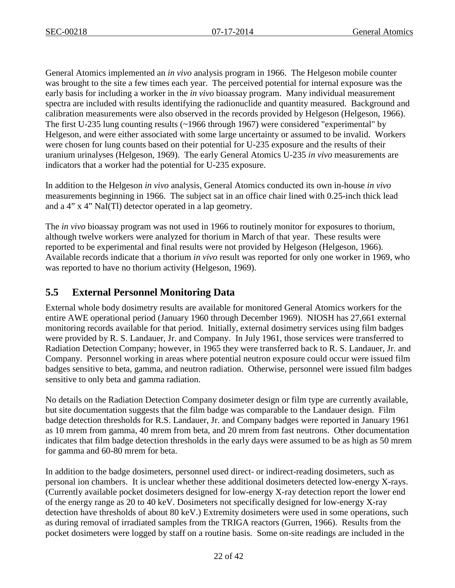General Atomics implemented an *in vivo* analysis program in 1966. The Helgeson mobile counter was brought to the site a few times each year. The perceived potential for internal exposure was the early basis for including a worker in the *in vivo* bioassay program. Many individual measurement spectra are included with results identifying the radionuclide and quantity measured. Background and calibration measurements were also observed in the records provided by Helgeson (Helgeson, 1966). The first U-235 lung counting results (~1966 through 1967) were considered "experimental" by Helgeson, and were either associated with some large uncertainty or assumed to be invalid. Workers were chosen for lung counts based on their potential for U-235 exposure and the results of their uranium urinalyses (Helgeson, 1969). The early General Atomics U-235 *in vivo* measurements are indicators that a worker had the potential for U-235 exposure.

In addition to the Helgeson *in vivo* analysis, General Atomics conducted its own in-house *in vivo*  measurements beginning in 1966. The subject sat in an office chair lined with 0.25-inch thick lead and a 4" x 4" NaI(Tl) detector operated in a lap geometry.

The *in vivo* bioassay program was not used in 1966 to routinely monitor for exposures to thorium, although twelve workers were analyzed for thorium in March of that year. These results were reported to be experimental and final results were not provided by Helgeson (Helgeson, 1966). Available records indicate that a thorium *in vivo* result was reported for only one worker in 1969, who was reported to have no thorium activity (Helgeson, 1969).

#### <span id="page-21-0"></span>**5.5 External Personnel Monitoring Data**

External whole body dosimetry results are available for monitored General Atomics workers for the entire AWE operational period (January 1960 through December 1969). NIOSH has 27,661 external monitoring records available for that period. Initially, external dosimetry services using film badges were provided by R. S. Landauer, Jr. and Company. In July 1961, those services were transferred to Radiation Detection Company; however, in 1965 they were transferred back to R. S. Landauer, Jr. and Company. Personnel working in areas where potential neutron exposure could occur were issued film badges sensitive to beta, gamma, and neutron radiation. Otherwise, personnel were issued film badges sensitive to only beta and gamma radiation.

No details on the Radiation Detection Company dosimeter design or film type are currently available, but site documentation suggests that the film badge was comparable to the Landauer design. Film badge detection thresholds for R.S. Landauer, Jr. and Company badges were reported in January 1961 as 10 mrem from gamma, 40 mrem from beta, and 20 mrem from fast neutrons. Other documentation indicates that film badge detection thresholds in the early days were assumed to be as high as 50 mrem for gamma and 60-80 mrem for beta.

In addition to the badge dosimeters, personnel used direct- or indirect-reading dosimeters, such as personal ion chambers. It is unclear whether these additional dosimeters detected low-energy X-rays. (Currently available pocket dosimeters designed for low-energy X-ray detection report the lower end of the energy range as 20 to 40 keV. Dosimeters not specifically designed for low-energy X-ray detection have thresholds of about 80 keV.) Extremity dosimeters were used in some operations, such as during removal of irradiated samples from the TRIGA reactors (Gurren, 1966). Results from the pocket dosimeters were logged by staff on a routine basis. Some on-site readings are included in the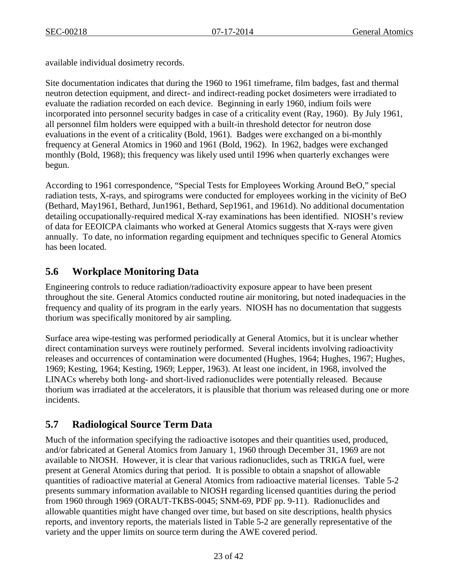available individual dosimetry records.

Site documentation indicates that during the 1960 to 1961 timeframe, film badges, fast and thermal neutron detection equipment, and direct- and indirect-reading pocket dosimeters were irradiated to evaluate the radiation recorded on each device. Beginning in early 1960, indium foils were incorporated into personnel security badges in case of a criticality event (Ray, 1960). By July 1961, all personnel film holders were equipped with a built-in threshold detector for neutron dose evaluations in the event of a criticality (Bold, 1961). Badges were exchanged on a bi-monthly frequency at General Atomics in 1960 and 1961 (Bold, 1962). In 1962, badges were exchanged monthly (Bold, 1968); this frequency was likely used until 1996 when quarterly exchanges were begun.

According to 1961 correspondence, "Special Tests for Employees Working Around BeO," special radiation tests, X-rays, and spirograms were conducted for employees working in the vicinity of BeO (Bethard, May1961, Bethard, Jun1961, Bethard, Sep1961, and 1961d). No additional documentation detailing occupationally-required medical X-ray examinations has been identified. NIOSH's review of data for EEOICPA claimants who worked at General Atomics suggests that X-rays were given annually. To date, no information regarding equipment and techniques specific to General Atomics has been located.

### <span id="page-22-0"></span>**5.6 Workplace Monitoring Data**

Engineering controls to reduce radiation/radioactivity exposure appear to have been present throughout the site. General Atomics conducted routine air monitoring, but noted inadequacies in the frequency and quality of its program in the early years. NIOSH has no documentation that suggests thorium was specifically monitored by air sampling.

Surface area wipe-testing was performed periodically at General Atomics, but it is unclear whether direct contamination surveys were routinely performed. Several incidents involving radioactivity releases and occurrences of contamination were documented (Hughes, 1964; Hughes, 1967; Hughes, 1969; Kesting, 1964; Kesting, 1969; Lepper, 1963). At least one incident, in 1968, involved the LINACs whereby both long- and short-lived radionuclides were potentially released. Because thorium was irradiated at the accelerators, it is plausible that thorium was released during one or more incidents.

### <span id="page-22-1"></span>**5.7 Radiological Source Term Data**

Much of the information specifying the radioactive isotopes and their quantities used, produced, and/or fabricated at General Atomics from January 1, 1960 through December 31, 1969 are not available to NIOSH. However, it is clear that various radionuclides, such as TRIGA fuel, were present at General Atomics during that period. It is possible to obtain a snapshot of allowable quantities of radioactive material at General Atomics from radioactive material licenses. Table 5-2 presents summary information available to NIOSH regarding licensed quantities during the period from 1960 through 1969 (ORAUT-TKBS-0045; SNM-69, PDF pp. 9-11). Radionuclides and allowable quantities might have changed over time, but based on site descriptions, health physics reports, and inventory reports, the materials listed in Table 5-2 are generally representative of the variety and the upper limits on source term during the AWE covered period.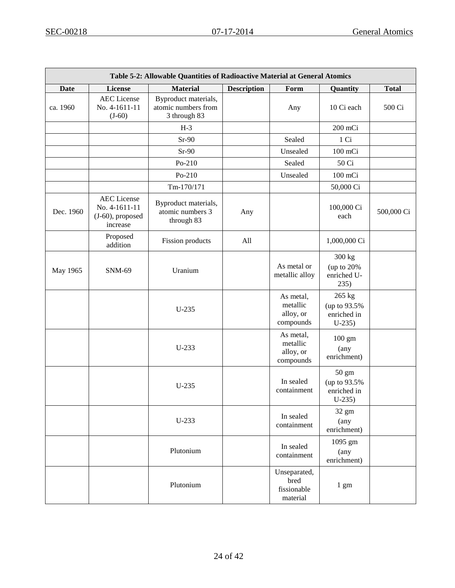| Table 5-2: Allowable Quantities of Radioactive Material at General Atomics |                                                                        |                                                             |                    |                                                 |                                                            |              |
|----------------------------------------------------------------------------|------------------------------------------------------------------------|-------------------------------------------------------------|--------------------|-------------------------------------------------|------------------------------------------------------------|--------------|
| <b>Date</b>                                                                | License                                                                | <b>Material</b>                                             | <b>Description</b> | Form                                            | Quantity                                                   | <b>Total</b> |
| ca. 1960                                                                   | <b>AEC</b> License<br>No. 4-1611-11<br>$(J-60)$                        | Byproduct materials,<br>atomic numbers from<br>3 through 83 |                    | Any                                             | 10 Ci each                                                 | 500 Ci       |
|                                                                            |                                                                        | $H-3$                                                       |                    |                                                 | 200 mCi                                                    |              |
|                                                                            |                                                                        | $Sr-90$                                                     |                    | Sealed                                          | 1 Ci                                                       |              |
|                                                                            |                                                                        | $Sr-90$                                                     |                    | Unsealed                                        | 100 mCi                                                    |              |
|                                                                            |                                                                        | Po-210                                                      |                    | Sealed                                          | 50 Ci                                                      |              |
|                                                                            |                                                                        | Po-210                                                      |                    | Unsealed                                        | 100 mCi                                                    |              |
|                                                                            |                                                                        | Tm-170/171                                                  |                    |                                                 | 50,000 Ci                                                  |              |
| Dec. 1960                                                                  | <b>AEC</b> License<br>No. 4-1611-11<br>$(J-60)$ , proposed<br>increase | Byproduct materials,<br>atomic numbers 3<br>through 83      | Any                |                                                 | 100,000 Ci<br>each                                         | 500,000 Ci   |
|                                                                            | Proposed<br>addition                                                   | <b>Fission</b> products                                     | All                |                                                 | 1,000,000 Ci                                               |              |
| May 1965                                                                   | <b>SNM-69</b>                                                          | Uranium                                                     |                    | As metal or<br>metallic alloy                   | 300 kg<br>(up to $20%$<br>enriched U-<br>235)              |              |
|                                                                            |                                                                        | $U-235$                                                     |                    | As metal,<br>metallic<br>alloy, or<br>compounds | 265 kg<br>(up to 93.5%)<br>enriched in<br>$U-235$          |              |
|                                                                            |                                                                        | $U-233$                                                     |                    | As metal,<br>metallic<br>alloy, or<br>compounds | $100 \text{ gm}$<br>(any<br>enrichment)                    |              |
|                                                                            |                                                                        | $U-235$                                                     |                    | In sealed<br>containment                        | $50 \text{ gm}$<br>(up to 93.5%)<br>enriched in<br>$U-235$ |              |
|                                                                            |                                                                        | U-233                                                       |                    | In sealed<br>containment                        | 32 gm<br>(any<br>enrichment)                               |              |
|                                                                            |                                                                        | Plutonium                                                   |                    | In sealed<br>containment                        | 1095 gm<br>(any<br>enrichment)                             |              |
|                                                                            |                                                                        | Plutonium                                                   |                    | Unseparated,<br>bred<br>fissionable<br>material | 1 gm                                                       |              |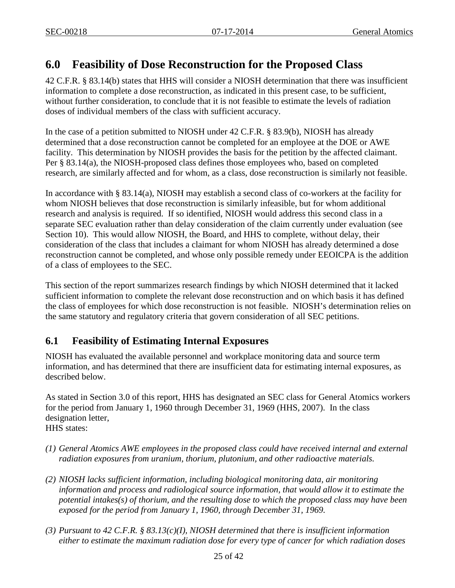## <span id="page-24-0"></span>**6.0 Feasibility of Dose Reconstruction for the Proposed Class**

42 C.F.R. § 83.14(b) states that HHS will consider a NIOSH determination that there was insufficient information to complete a dose reconstruction, as indicated in this present case, to be sufficient, without further consideration, to conclude that it is not feasible to estimate the levels of radiation doses of individual members of the class with sufficient accuracy.

In the case of a petition submitted to NIOSH under 42 C.F.R. § 83.9(b), NIOSH has already determined that a dose reconstruction cannot be completed for an employee at the DOE or AWE facility. This determination by NIOSH provides the basis for the petition by the affected claimant. Per § 83.14(a), the NIOSH-proposed class defines those employees who, based on completed research, are similarly affected and for whom, as a class, dose reconstruction is similarly not feasible.

In accordance with § 83.14(a), NIOSH may establish a second class of co-workers at the facility for whom NIOSH believes that dose reconstruction is similarly infeasible, but for whom additional research and analysis is required. If so identified, NIOSH would address this second class in a separate SEC evaluation rather than delay consideration of the claim currently under evaluation (see Section 10). This would allow NIOSH, the Board, and HHS to complete, without delay, their consideration of the class that includes a claimant for whom NIOSH has already determined a dose reconstruction cannot be completed, and whose only possible remedy under EEOICPA is the addition of a class of employees to the SEC.

This section of the report summarizes research findings by which NIOSH determined that it lacked sufficient information to complete the relevant dose reconstruction and on which basis it has defined the class of employees for which dose reconstruction is not feasible. NIOSH's determination relies on the same statutory and regulatory criteria that govern consideration of all SEC petitions.

### <span id="page-24-1"></span>**6.1 Feasibility of Estimating Internal Exposures**

NIOSH has evaluated the available personnel and workplace monitoring data and source term information, and has determined that there are insufficient data for estimating internal exposures, as described below.

As stated in Section 3.0 of this report, HHS has designated an SEC class for General Atomics workers for the period from January 1, 1960 through December 31, 1969 (HHS, 2007). In the class designation letter, HHS states:

- *(1) General Atomics AWE employees in the proposed class could have received internal and external radiation exposures from uranium, thorium, plutonium, and other radioactive materials.*
- *(2) NIOSH lacks sufficient information, including biological monitoring data, air monitoring information and process and radiological source information, that would allow it to estimate the potential intakes(s) of thorium, and the resulting dose to which the proposed class may have been exposed for the period from January 1, 1960, through December 31, 1969.*
- *(3) Pursuant to 42 C.F.R. § 83.13(c)(I), NIOSH determined that there is insufficient information either to estimate the maximum radiation dose for every type of cancer for which radiation doses*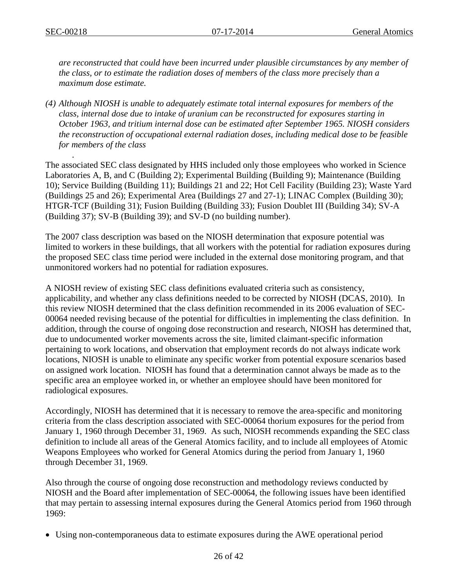*.*

*are reconstructed that could have been incurred under plausible circumstances by any member of the class, or to estimate the radiation doses of members of the class more precisely than a maximum dose estimate.*

*(4) Although NIOSH is unable to adequately estimate total internal exposures for members of the class, internal dose due to intake of uranium can be reconstructed for exposures starting in October 1963, and tritium internal dose can be estimated after September 1965. NIOSH considers the reconstruction of occupational external radiation doses, including medical dose to be feasible for members of the class*

The associated SEC class designated by HHS included only those employees who worked in Science Laboratories A, B, and C (Building 2); Experimental Building (Building 9); Maintenance (Building 10); Service Building (Building 11); Buildings 21 and 22; Hot Cell Facility (Building 23); Waste Yard (Buildings 25 and 26); Experimental Area (Buildings 27 and 27-1); LINAC Complex (Building 30); HTGR-TCF (Building 31); Fusion Building (Building 33); Fusion Doublet III (Building 34); SV-A (Building 37); SV-B (Building 39); and SV-D (no building number).

The 2007 class description was based on the NIOSH determination that exposure potential was limited to workers in these buildings, that all workers with the potential for radiation exposures during the proposed SEC class time period were included in the external dose monitoring program, and that unmonitored workers had no potential for radiation exposures.

A NIOSH review of existing SEC class definitions evaluated criteria such as consistency, applicability, and whether any class definitions needed to be corrected by NIOSH (DCAS, 2010). In this review NIOSH determined that the class definition recommended in its 2006 evaluation of SEC-00064 needed revising because of the potential for difficulties in implementing the class definition. In addition, through the course of ongoing dose reconstruction and research, NIOSH has determined that, due to undocumented worker movements across the site, limited claimant-specific information pertaining to work locations, and observation that employment records do not always indicate work locations, NIOSH is unable to eliminate any specific worker from potential exposure scenarios based on assigned work location. NIOSH has found that a determination cannot always be made as to the specific area an employee worked in, or whether an employee should have been monitored for radiological exposures.

Accordingly, NIOSH has determined that it is necessary to remove the area-specific and monitoring criteria from the class description associated with SEC-00064 thorium exposures for the period from January 1, 1960 through December 31, 1969. As such, NIOSH recommends expanding the SEC class definition to include all areas of the General Atomics facility, and to include all employees of Atomic Weapons Employees who worked for General Atomics during the period from January 1, 1960 through December 31, 1969.

Also through the course of ongoing dose reconstruction and methodology reviews conducted by NIOSH and the Board after implementation of SEC-00064, the following issues have been identified that may pertain to assessing internal exposures during the General Atomics period from 1960 through 1969:

• Using non-contemporaneous data to estimate exposures during the AWE operational period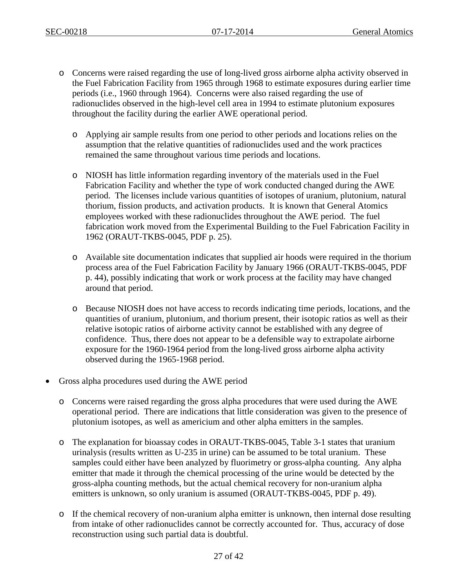- o Concerns were raised regarding the use of long-lived gross airborne alpha activity observed in the Fuel Fabrication Facility from 1965 through 1968 to estimate exposures during earlier time periods (i.e., 1960 through 1964). Concerns were also raised regarding the use of radionuclides observed in the high-level cell area in 1994 to estimate plutonium exposures throughout the facility during the earlier AWE operational period.
	- o Applying air sample results from one period to other periods and locations relies on the assumption that the relative quantities of radionuclides used and the work practices remained the same throughout various time periods and locations.
	- o NIOSH has little information regarding inventory of the materials used in the Fuel Fabrication Facility and whether the type of work conducted changed during the AWE period. The licenses include various quantities of isotopes of uranium, plutonium, natural thorium, fission products, and activation products. It is known that General Atomics employees worked with these radionuclides throughout the AWE period. The fuel fabrication work moved from the Experimental Building to the Fuel Fabrication Facility in 1962 (ORAUT-TKBS-0045, PDF p. 25).
	- o Available site documentation indicates that supplied air hoods were required in the thorium process area of the Fuel Fabrication Facility by January 1966 (ORAUT-TKBS-0045, PDF p. 44), possibly indicating that work or work process at the facility may have changed around that period.
	- o Because NIOSH does not have access to records indicating time periods, locations, and the quantities of uranium, plutonium, and thorium present, their isotopic ratios as well as their relative isotopic ratios of airborne activity cannot be established with any degree of confidence. Thus, there does not appear to be a defensible way to extrapolate airborne exposure for the 1960-1964 period from the long-lived gross airborne alpha activity observed during the 1965-1968 period.
- Gross alpha procedures used during the AWE period
	- o Concerns were raised regarding the gross alpha procedures that were used during the AWE operational period. There are indications that little consideration was given to the presence of plutonium isotopes, as well as americium and other alpha emitters in the samples.
	- o The explanation for bioassay codes in ORAUT-TKBS-0045, Table 3-1 states that uranium urinalysis (results written as U-235 in urine) can be assumed to be total uranium. These samples could either have been analyzed by fluorimetry or gross-alpha counting. Any alpha emitter that made it through the chemical processing of the urine would be detected by the gross-alpha counting methods, but the actual chemical recovery for non-uranium alpha emitters is unknown, so only uranium is assumed (ORAUT-TKBS-0045, PDF p. 49).
	- o If the chemical recovery of non-uranium alpha emitter is unknown, then internal dose resulting from intake of other radionuclides cannot be correctly accounted for. Thus, accuracy of dose reconstruction using such partial data is doubtful.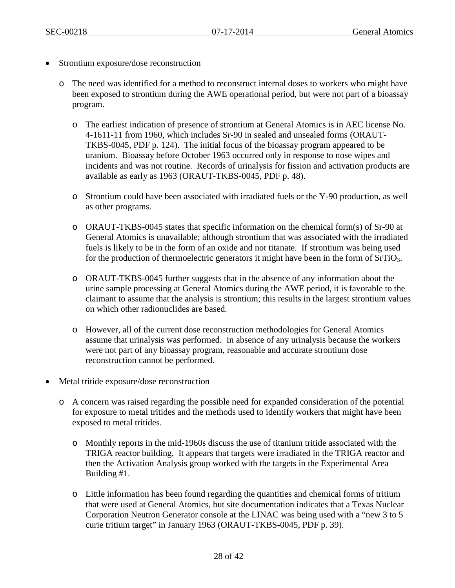- Strontium exposure/dose reconstruction
	- o The need was identified for a method to reconstruct internal doses to workers who might have been exposed to strontium during the AWE operational period, but were not part of a bioassay program.
		- o The earliest indication of presence of strontium at General Atomics is in AEC license No. 4-1611-11 from 1960, which includes Sr-90 in sealed and unsealed forms (ORAUT-TKBS-0045, PDF p. 124). The initial focus of the bioassay program appeared to be uranium. Bioassay before October 1963 occurred only in response to nose wipes and incidents and was not routine. Records of urinalysis for fission and activation products are available as early as 1963 (ORAUT-TKBS-0045, PDF p. 48).
		- o Strontium could have been associated with irradiated fuels or the Y-90 production, as well as other programs.
		- o ORAUT-TKBS-0045 states that specific information on the chemical form(s) of Sr-90 at General Atomics is unavailable; although strontium that was associated with the irradiated fuels is likely to be in the form of an oxide and not titanate. If strontium was being used for the production of thermoelectric generators it might have been in the form of  $SrTiO<sub>3</sub>$ .
		- o ORAUT-TKBS-0045 further suggests that in the absence of any information about the urine sample processing at General Atomics during the AWE period, it is favorable to the claimant to assume that the analysis is strontium; this results in the largest strontium values on which other radionuclides are based.
		- o However, all of the current dose reconstruction methodologies for General Atomics assume that urinalysis was performed. In absence of any urinalysis because the workers were not part of any bioassay program, reasonable and accurate strontium dose reconstruction cannot be performed.
- Metal tritide exposure/dose reconstruction
	- o A concern was raised regarding the possible need for expanded consideration of the potential for exposure to metal tritides and the methods used to identify workers that might have been exposed to metal tritides.
		- o Monthly reports in the mid-1960s discuss the use of titanium tritide associated with the TRIGA reactor building. It appears that targets were irradiated in the TRIGA reactor and then the Activation Analysis group worked with the targets in the Experimental Area Building #1.
		- o Little information has been found regarding the quantities and chemical forms of tritium that were used at General Atomics, but site documentation indicates that a Texas Nuclear Corporation Neutron Generator console at the LINAC was being used with a "new 3 to 5 curie tritium target" in January 1963 (ORAUT-TKBS-0045, PDF p. 39).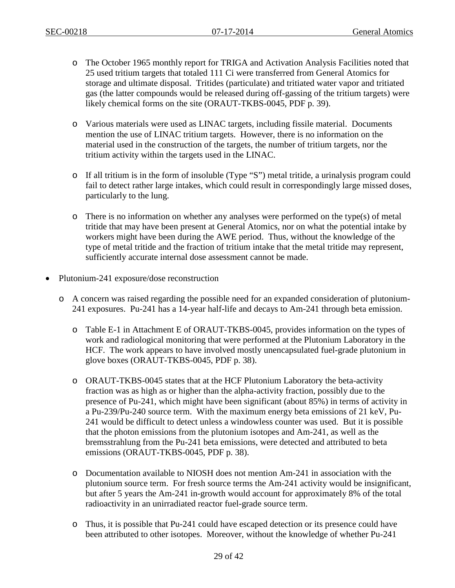- o The October 1965 monthly report for TRIGA and Activation Analysis Facilities noted that 25 used tritium targets that totaled 111 Ci were transferred from General Atomics for storage and ultimate disposal. Tritides (particulate) and tritiated water vapor and tritiated gas (the latter compounds would be released during off-gassing of the tritium targets) were likely chemical forms on the site (ORAUT-TKBS-0045, PDF p. 39).
- o Various materials were used as LINAC targets, including fissile material. Documents mention the use of LINAC tritium targets. However, there is no information on the material used in the construction of the targets, the number of tritium targets, nor the tritium activity within the targets used in the LINAC.
- o If all tritium is in the form of insoluble (Type "S") metal tritide, a urinalysis program could fail to detect rather large intakes, which could result in correspondingly large missed doses, particularly to the lung.
- o There is no information on whether any analyses were performed on the type(s) of metal tritide that may have been present at General Atomics, nor on what the potential intake by workers might have been during the AWE period. Thus, without the knowledge of the type of metal tritide and the fraction of tritium intake that the metal tritide may represent, sufficiently accurate internal dose assessment cannot be made.
- Plutonium-241 exposure/dose reconstruction
	- o A concern was raised regarding the possible need for an expanded consideration of plutonium-241 exposures. Pu-241 has a 14-year half-life and decays to Am-241 through beta emission.
		- o Table E-1 in Attachment E of ORAUT-TKBS-0045, provides information on the types of work and radiological monitoring that were performed at the Plutonium Laboratory in the HCF. The work appears to have involved mostly unencapsulated fuel-grade plutonium in glove boxes (ORAUT-TKBS-0045, PDF p. 38).
		- o ORAUT-TKBS-0045 states that at the HCF Plutonium Laboratory the beta-activity fraction was as high as or higher than the alpha-activity fraction, possibly due to the presence of Pu-241, which might have been significant (about 85%) in terms of activity in a Pu-239/Pu-240 source term. With the maximum energy beta emissions of 21 keV, Pu-241 would be difficult to detect unless a windowless counter was used. But it is possible that the photon emissions from the plutonium isotopes and Am-241, as well as the bremsstrahlung from the Pu-241 beta emissions, were detected and attributed to beta emissions (ORAUT-TKBS-0045, PDF p. 38).
		- o Documentation available to NIOSH does not mention Am-241 in association with the plutonium source term. For fresh source terms the Am-241 activity would be insignificant, but after 5 years the Am-241 in-growth would account for approximately 8% of the total radioactivity in an unirradiated reactor fuel-grade source term.
		- o Thus, it is possible that Pu-241 could have escaped detection or its presence could have been attributed to other isotopes. Moreover, without the knowledge of whether Pu-241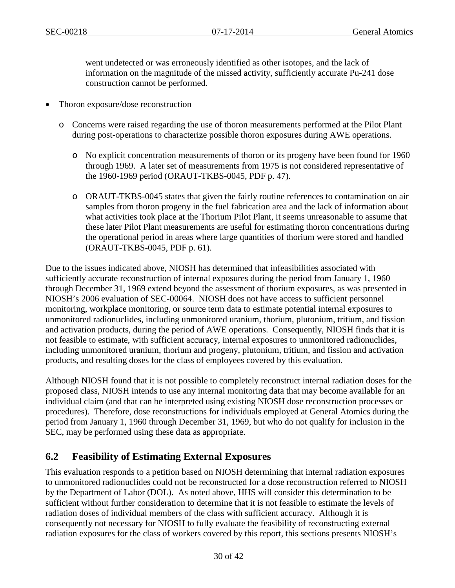went undetected or was erroneously identified as other isotopes, and the lack of information on the magnitude of the missed activity, sufficiently accurate Pu-241 dose construction cannot be performed.

- Thoron exposure/dose reconstruction
	- o Concerns were raised regarding the use of thoron measurements performed at the Pilot Plant during post-operations to characterize possible thoron exposures during AWE operations.
		- o No explicit concentration measurements of thoron or its progeny have been found for 1960 through 1969. A later set of measurements from 1975 is not considered representative of the 1960-1969 period (ORAUT-TKBS-0045, PDF p. 47).
		- o ORAUT-TKBS-0045 states that given the fairly routine references to contamination on air samples from thoron progeny in the fuel fabrication area and the lack of information about what activities took place at the Thorium Pilot Plant, it seems unreasonable to assume that these later Pilot Plant measurements are useful for estimating thoron concentrations during the operational period in areas where large quantities of thorium were stored and handled (ORAUT-TKBS-0045, PDF p. 61).

Due to the issues indicated above, NIOSH has determined that infeasibilities associated with sufficiently accurate reconstruction of internal exposures during the period from January 1, 1960 through December 31, 1969 extend beyond the assessment of thorium exposures, as was presented in NIOSH's 2006 evaluation of SEC-00064. NIOSH does not have access to sufficient personnel monitoring, workplace monitoring, or source term data to estimate potential internal exposures to unmonitored radionuclides, including unmonitored uranium, thorium, plutonium, tritium, and fission and activation products, during the period of AWE operations. Consequently, NIOSH finds that it is not feasible to estimate, with sufficient accuracy, internal exposures to unmonitored radionuclides, including unmonitored uranium, thorium and progeny, plutonium, tritium, and fission and activation products, and resulting doses for the class of employees covered by this evaluation.

Although NIOSH found that it is not possible to completely reconstruct internal radiation doses for the proposed class, NIOSH intends to use any internal monitoring data that may become available for an individual claim (and that can be interpreted using existing NIOSH dose reconstruction processes or procedures). Therefore, dose reconstructions for individuals employed at General Atomics during the period from January 1, 1960 through December 31, 1969, but who do not qualify for inclusion in the SEC, may be performed using these data as appropriate.

### <span id="page-29-0"></span>**6.2 Feasibility of Estimating External Exposures**

This evaluation responds to a petition based on NIOSH determining that internal radiation exposures to unmonitored radionuclides could not be reconstructed for a dose reconstruction referred to NIOSH by the Department of Labor (DOL). As noted above, HHS will consider this determination to be sufficient without further consideration to determine that it is not feasible to estimate the levels of radiation doses of individual members of the class with sufficient accuracy. Although it is consequently not necessary for NIOSH to fully evaluate the feasibility of reconstructing external radiation exposures for the class of workers covered by this report, this sections presents NIOSH's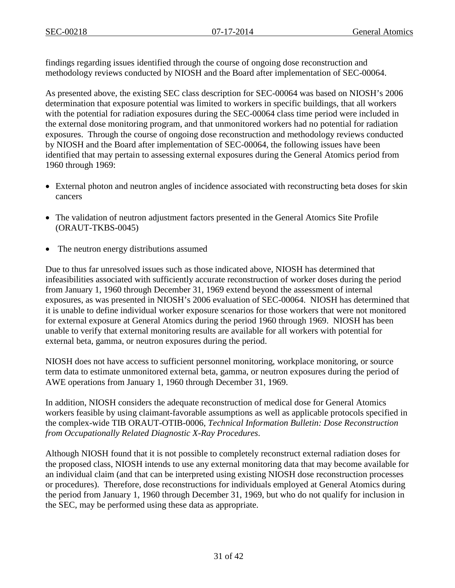findings regarding issues identified through the course of ongoing dose reconstruction and methodology reviews conducted by NIOSH and the Board after implementation of SEC-00064.

As presented above, the existing SEC class description for SEC-00064 was based on NIOSH's 2006 determination that exposure potential was limited to workers in specific buildings, that all workers with the potential for radiation exposures during the SEC-00064 class time period were included in the external dose monitoring program, and that unmonitored workers had no potential for radiation exposures. Through the course of ongoing dose reconstruction and methodology reviews conducted by NIOSH and the Board after implementation of SEC-00064, the following issues have been identified that may pertain to assessing external exposures during the General Atomics period from 1960 through 1969:

- External photon and neutron angles of incidence associated with reconstructing beta doses for skin cancers
- The validation of neutron adjustment factors presented in the General Atomics Site Profile (ORAUT-TKBS-0045)
- The neutron energy distributions assumed

Due to thus far unresolved issues such as those indicated above, NIOSH has determined that infeasibilities associated with sufficiently accurate reconstruction of worker doses during the period from January 1, 1960 through December 31, 1969 extend beyond the assessment of internal exposures, as was presented in NIOSH's 2006 evaluation of SEC-00064. NIOSH has determined that it is unable to define individual worker exposure scenarios for those workers that were not monitored for external exposure at General Atomics during the period 1960 through 1969. NIOSH has been unable to verify that external monitoring results are available for all workers with potential for external beta, gamma, or neutron exposures during the period.

NIOSH does not have access to sufficient personnel monitoring, workplace monitoring, or source term data to estimate unmonitored external beta, gamma, or neutron exposures during the period of AWE operations from January 1, 1960 through December 31, 1969.

In addition, NIOSH considers the adequate reconstruction of medical dose for General Atomics workers feasible by using claimant-favorable assumptions as well as applicable protocols specified in the complex-wide TIB ORAUT-OTIB-0006, *Technical Information Bulletin: Dose Reconstruction from Occupationally Related Diagnostic X-Ray Procedures*.

Although NIOSH found that it is not possible to completely reconstruct external radiation doses for the proposed class, NIOSH intends to use any external monitoring data that may become available for an individual claim (and that can be interpreted using existing NIOSH dose reconstruction processes or procedures). Therefore, dose reconstructions for individuals employed at General Atomics during the period from January 1, 1960 through December 31, 1969, but who do not qualify for inclusion in the SEC, may be performed using these data as appropriate.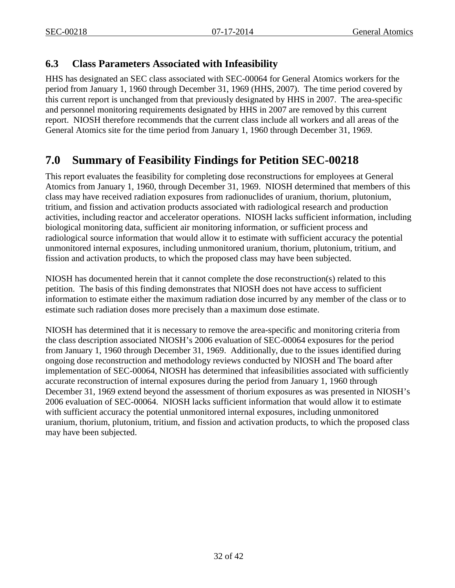### <span id="page-31-0"></span>**6.3 Class Parameters Associated with Infeasibility**

HHS has designated an SEC class associated with SEC-00064 for General Atomics workers for the period from January 1, 1960 through December 31, 1969 (HHS, 2007). The time period covered by this current report is unchanged from that previously designated by HHS in 2007. The area-specific and personnel monitoring requirements designated by HHS in 2007 are removed by this current report. NIOSH therefore recommends that the current class include all workers and all areas of the General Atomics site for the time period from January 1, 1960 through December 31, 1969.

## <span id="page-31-1"></span>**7.0 Summary of Feasibility Findings for Petition SEC-00218**

This report evaluates the feasibility for completing dose reconstructions for employees at General Atomics from January 1, 1960, through December 31, 1969. NIOSH determined that members of this class may have received radiation exposures from radionuclides of uranium, thorium, plutonium, tritium, and fission and activation products associated with radiological research and production activities, including reactor and accelerator operations. NIOSH lacks sufficient information, including biological monitoring data, sufficient air monitoring information, or sufficient process and radiological source information that would allow it to estimate with sufficient accuracy the potential unmonitored internal exposures, including unmonitored uranium, thorium, plutonium, tritium, and fission and activation products, to which the proposed class may have been subjected.

NIOSH has documented herein that it cannot complete the dose reconstruction(s) related to this petition. The basis of this finding demonstrates that NIOSH does not have access to sufficient information to estimate either the maximum radiation dose incurred by any member of the class or to estimate such radiation doses more precisely than a maximum dose estimate.

NIOSH has determined that it is necessary to remove the area-specific and monitoring criteria from the class description associated NIOSH's 2006 evaluation of SEC-00064 exposures for the period from January 1, 1960 through December 31, 1969. Additionally, due to the issues identified during ongoing dose reconstruction and methodology reviews conducted by NIOSH and The board after implementation of SEC-00064, NIOSH has determined that infeasibilities associated with sufficiently accurate reconstruction of internal exposures during the period from January 1, 1960 through December 31, 1969 extend beyond the assessment of thorium exposures as was presented in NIOSH's 2006 evaluation of SEC-00064. NIOSH lacks sufficient information that would allow it to estimate with sufficient accuracy the potential unmonitored internal exposures, including unmonitored uranium, thorium, plutonium, tritium, and fission and activation products, to which the proposed class may have been subjected.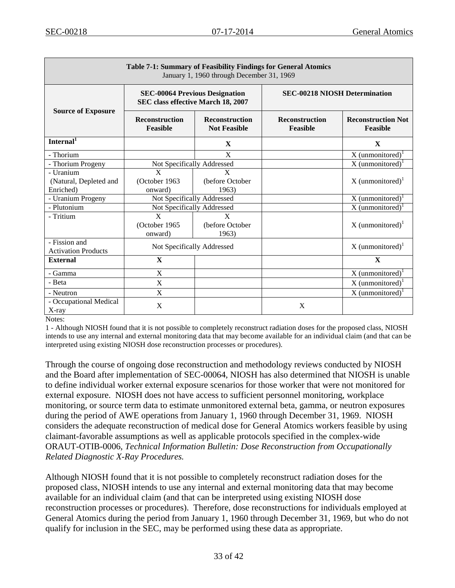| <b>Table 7-1: Summary of Feasibility Findings for General Atomics</b><br>January 1, 1960 through December 31, 1969 |                                                                             |                                              |                                          |                                       |  |
|--------------------------------------------------------------------------------------------------------------------|-----------------------------------------------------------------------------|----------------------------------------------|------------------------------------------|---------------------------------------|--|
|                                                                                                                    | <b>SEC-00064 Previous Designation</b><br>SEC class effective March 18, 2007 |                                              | <b>SEC-00218 NIOSH Determination</b>     |                                       |  |
| <b>Source of Exposure</b>                                                                                          | <b>Reconstruction</b><br><b>Feasible</b>                                    | <b>Reconstruction</b><br><b>Not Feasible</b> | <b>Reconstruction</b><br><b>Feasible</b> | <b>Reconstruction Not</b><br>Feasible |  |
| Internal <sup>1</sup>                                                                                              |                                                                             | X                                            |                                          | $\mathbf{X}$                          |  |
| - Thorium                                                                                                          |                                                                             | X                                            |                                          | $X$ (unmonitored) <sup>1</sup>        |  |
| - Thorium Progeny                                                                                                  |                                                                             | Not Specifically Addressed                   |                                          | X (unmonitored)                       |  |
| - Uranium                                                                                                          | $\mathbf{X}$                                                                | X                                            |                                          |                                       |  |
| (Natural, Depleted and                                                                                             | (October 1963)                                                              | (before October                              |                                          | $X$ (unmonitored) <sup>1</sup>        |  |
| Enriched)                                                                                                          | onward)                                                                     | 1963)                                        |                                          |                                       |  |
| - Uranium Progeny                                                                                                  |                                                                             | Not Specifically Addressed                   |                                          | $X$ (unmonitored) <sup>1</sup>        |  |
| - Plutonium                                                                                                        |                                                                             | Not Specifically Addressed                   |                                          | $X$ (unmonitored) <sup>1</sup>        |  |
| - Tritium                                                                                                          | X<br>(October 1965<br>onward)                                               | X<br>(before October<br>1963)                |                                          | $X$ (unmonitored) <sup>1</sup>        |  |
| - Fission and<br><b>Activation Products</b>                                                                        | Not Specifically Addressed                                                  |                                              |                                          | $X$ (unmonitored) <sup>1</sup>        |  |
| <b>External</b>                                                                                                    | $\mathbf{X}$                                                                |                                              |                                          | X                                     |  |
| - Gamma                                                                                                            | $\mathbf X$                                                                 |                                              |                                          | $X$ (unmonitored) <sup>1</sup>        |  |
| - Beta                                                                                                             | X                                                                           |                                              |                                          | $X$ (unmonitored) <sup>1</sup>        |  |
| - Neutron                                                                                                          | X                                                                           |                                              |                                          | $X$ (unmonitored) <sup>1</sup>        |  |
| - Occupational Medical<br>X-ray                                                                                    | X                                                                           |                                              | X                                        |                                       |  |

Notes:

1 - Although NIOSH found that it is not possible to completely reconstruct radiation doses for the proposed class, NIOSH intends to use any internal and external monitoring data that may become available for an individual claim (and that can be interpreted using existing NIOSH dose reconstruction processes or procedures).

Through the course of ongoing dose reconstruction and methodology reviews conducted by NIOSH and the Board after implementation of SEC-00064, NIOSH has also determined that NIOSH is unable to define individual worker external exposure scenarios for those worker that were not monitored for external exposure. NIOSH does not have access to sufficient personnel monitoring, workplace monitoring, or source term data to estimate unmonitored external beta, gamma, or neutron exposures during the period of AWE operations from January 1, 1960 through December 31, 1969. NIOSH considers the adequate reconstruction of medical dose for General Atomics workers feasible by using claimant-favorable assumptions as well as applicable protocols specified in the complex-wide ORAUT-OTIB-0006, *Technical Information Bulletin: Dose Reconstruction from Occupationally Related Diagnostic X-Ray Procedures.*

Although NIOSH found that it is not possible to completely reconstruct radiation doses for the proposed class, NIOSH intends to use any internal and external monitoring data that may become available for an individual claim (and that can be interpreted using existing NIOSH dose reconstruction processes or procedures). Therefore, dose reconstructions for individuals employed at General Atomics during the period from January 1, 1960 through December 31, 1969, but who do not qualify for inclusion in the SEC, may be performed using these data as appropriate.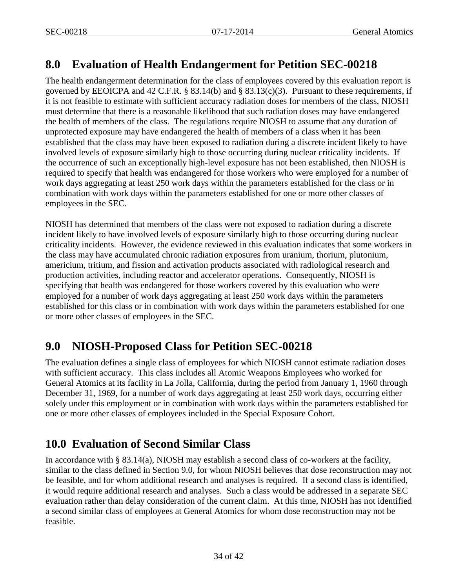## <span id="page-33-0"></span>**8.0 Evaluation of Health Endangerment for Petition SEC-00218**

The health endangerment determination for the class of employees covered by this evaluation report is governed by EEOICPA and 42 C.F.R. § 83.14(b) and § 83.13(c)(3). Pursuant to these requirements, if it is not feasible to estimate with sufficient accuracy radiation doses for members of the class, NIOSH must determine that there is a reasonable likelihood that such radiation doses may have endangered the health of members of the class. The regulations require NIOSH to assume that any duration of unprotected exposure may have endangered the health of members of a class when it has been established that the class may have been exposed to radiation during a discrete incident likely to have involved levels of exposure similarly high to those occurring during nuclear criticality incidents. If the occurrence of such an exceptionally high-level exposure has not been established, then NIOSH is required to specify that health was endangered for those workers who were employed for a number of work days aggregating at least 250 work days within the parameters established for the class or in combination with work days within the parameters established for one or more other classes of employees in the SEC.

NIOSH has determined that members of the class were not exposed to radiation during a discrete incident likely to have involved levels of exposure similarly high to those occurring during nuclear criticality incidents. However, the evidence reviewed in this evaluation indicates that some workers in the class may have accumulated chronic radiation exposures from uranium, thorium, plutonium, americium, tritium, and fission and activation products associated with radiological research and production activities, including reactor and accelerator operations. Consequently, NIOSH is specifying that health was endangered for those workers covered by this evaluation who were employed for a number of work days aggregating at least 250 work days within the parameters established for this class or in combination with work days within the parameters established for one or more other classes of employees in the SEC.

## <span id="page-33-1"></span>**9.0 NIOSH-Proposed Class for Petition SEC-00218**

The evaluation defines a single class of employees for which NIOSH cannot estimate radiation doses with sufficient accuracy. This class includes all Atomic Weapons Employees who worked for General Atomics at its facility in La Jolla, California, during the period from January 1, 1960 through December 31, 1969, for a number of work days aggregating at least 250 work days, occurring either solely under this employment or in combination with work days within the parameters established for one or more other classes of employees included in the Special Exposure Cohort.

## <span id="page-33-2"></span>**10.0 Evaluation of Second Similar Class**

In accordance with § 83.14(a), NIOSH may establish a second class of co-workers at the facility, similar to the class defined in Section 9.0, for whom NIOSH believes that dose reconstruction may not be feasible, and for whom additional research and analyses is required. If a second class is identified, it would require additional research and analyses. Such a class would be addressed in a separate SEC evaluation rather than delay consideration of the current claim. At this time, NIOSH has not identified a second similar class of employees at General Atomics for whom dose reconstruction may not be feasible.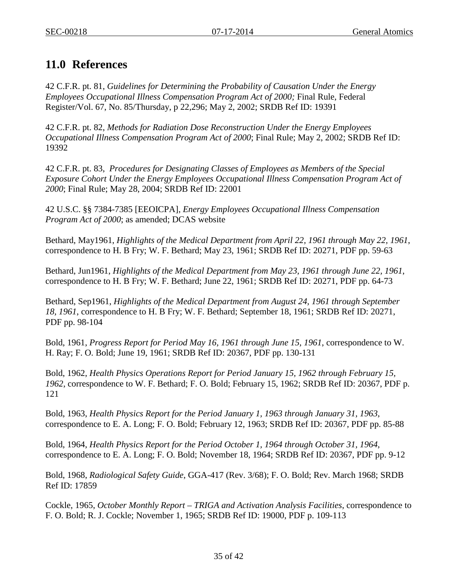## <span id="page-34-0"></span>**11.0 References**

42 C.F.R. pt. 81, *Guidelines for Determining the Probability of Causation Under the Energy Employees Occupational Illness Compensation Program Act of 2000;* Final Rule, Federal Register/Vol. 67, No. 85/Thursday, p 22,296; May 2, 2002; SRDB Ref ID: 19391

42 C.F.R. pt. 82, *Methods for Radiation Dose Reconstruction Under the Energy Employees Occupational Illness Compensation Program Act of 2000*; Final Rule; May 2, 2002; SRDB Ref ID: 19392

42 C.F.R. pt. 83, *Procedures for Designating Classes of Employees as Members of the Special Exposure Cohort Under the Energy Employees Occupational Illness Compensation Program Act of 2000*; Final Rule; May 28, 2004; SRDB Ref ID: 22001

42 U.S.C. §§ 7384-7385 [EEOICPA], *Energy Employees Occupational Illness Compensation Program Act of 2000*; as amended; DCAS website

Bethard, May1961, *Highlights of the Medical Department from April 22, 1961 through May 22, 1961*, correspondence to H. B Fry; W. F. Bethard; May 23, 1961; SRDB Ref ID: 20271, PDF pp. 59-63

Bethard, Jun1961, *Highlights of the Medical Department from May 23, 1961 through June 22, 1961*, correspondence to H. B Fry; W. F. Bethard; June 22, 1961; SRDB Ref ID: 20271, PDF pp. 64-73

Bethard, Sep1961, *Highlights of the Medical Department from August 24, 1961 through September 18, 1961*, correspondence to H. B Fry; W. F. Bethard; September 18, 1961; SRDB Ref ID: 20271, PDF pp. 98-104

Bold, 1961, *Progress Report for Period May 16, 1961 through June 15, 1961*, correspondence to W. H. Ray; F. O. Bold; June 19, 1961; SRDB Ref ID: 20367, PDF pp. 130-131

Bold, 1962, *Health Physics Operations Report for Period January 15, 1962 through February 15, 1962*, correspondence to W. F. Bethard; F. O. Bold; February 15, 1962; SRDB Ref ID: 20367, PDF p. 121

Bold, 1963, *Health Physics Report for the Period January 1, 1963 through January 31, 1963*, correspondence to E. A. Long; F. O. Bold; February 12, 1963; SRDB Ref ID: 20367, PDF pp. 85-88

Bold, 1964, *Health Physics Report for the Period October 1, 1964 through October 31, 1964*, correspondence to E. A. Long; F. O. Bold; November 18, 1964; SRDB Ref ID: 20367, PDF pp. 9-12

Bold, 1968, *Radiological Safety Guide*, GGA-417 (Rev. 3/68); F. O. Bold; Rev. March 1968; SRDB Ref ID: 17859

Cockle, 1965, *October Monthly Report – TRIGA and Activation Analysis Facilities*, correspondence to F. O. Bold; R. J. Cockle; November 1, 1965; SRDB Ref ID: 19000, PDF p. 109-113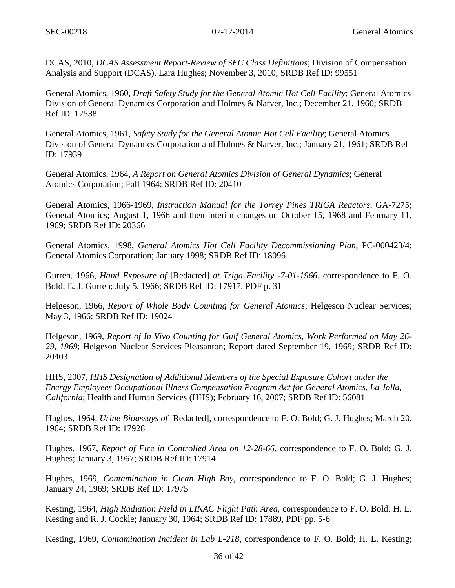DCAS, 2010, *DCAS Assessment Report-Review of SEC Class Definitions*; Division of Compensation Analysis and Support (DCAS), Lara Hughes; November 3, 2010; SRDB Ref ID: 99551

General Atomics, 1960, *Draft Safety Study for the General Atomic Hot Cell Facility*; General Atomics Division of General Dynamics Corporation and Holmes & Narver, Inc.; December 21, 1960; SRDB Ref ID: 17538

General Atomics, 1961, *Safety Study for the General Atomic Hot Cell Facility*; General Atomics Division of General Dynamics Corporation and Holmes & Narver, Inc.; January 21, 1961; SRDB Ref ID: 17939

General Atomics, 1964, *A Report on General Atomics Division of General Dynamics*; General Atomics Corporation; Fall 1964; SRDB Ref ID: 20410

General Atomics, 1966-1969, *Instruction Manual for the Torrey Pines TRIGA Reactors*, GA-7275; General Atomics; August 1, 1966 and then interim changes on October 15, 1968 and February 11, 1969; SRDB Ref ID: 20366

General Atomics, 1998, *General Atomics Hot Cell Facility Decommissioning Plan*, PC-000423/4; General Atomics Corporation; January 1998; SRDB Ref ID: 18096

Gurren, 1966, *Hand Exposure of* [Redacted] *at Triga Facility -7-01-1966*, correspondence to F. O. Bold; E. J. Gurren; July 5, 1966; SRDB Ref ID: 17917, PDF p. 31

Helgeson, 1966, *Report of Whole Body Counting for General Atomics*; Helgeson Nuclear Services; May 3, 1966; SRDB Ref ID: 19024

Helgeson, 1969, *Report of In Vivo Counting for Gulf General Atomics, Work Performed on May 26- 29, 1969*; Helgeson Nuclear Services Pleasanton; Report dated September 19, 1969; SRDB Ref ID: 20403

HHS, 2007, *HHS Designation of Additional Members of the Special Exposure Cohort under the Energy Employees Occupational Illness Compensation Program Act for General Atomics, La Jolla, California*; Health and Human Services (HHS); February 16, 2007; SRDB Ref ID: 56081

Hughes, 1964, *Urine Bioassays of* [Redacted], correspondence to F. O. Bold; G. J. Hughes; March 20, 1964; SRDB Ref ID: 17928

Hughes, 1967, *Report of Fire in Controlled Area on 12-28-66*, correspondence to F. O. Bold; G. J. Hughes; January 3, 1967; SRDB Ref ID: 17914

Hughes, 1969, *Contamination in Clean High Bay,* correspondence to F. O. Bold; G. J. Hughes; January 24, 1969; SRDB Ref ID: 17975

Kesting, 1964, *High Radiation Field in LINAC Flight Path Area*, correspondence to F. O. Bold; H. L. Kesting and R. J. Cockle; January 30, 1964; SRDB Ref ID: 17889, PDF pp. 5-6

Kesting, 1969, *Contamination Incident in Lab L-218*, correspondence to F. O. Bold; H. L. Kesting;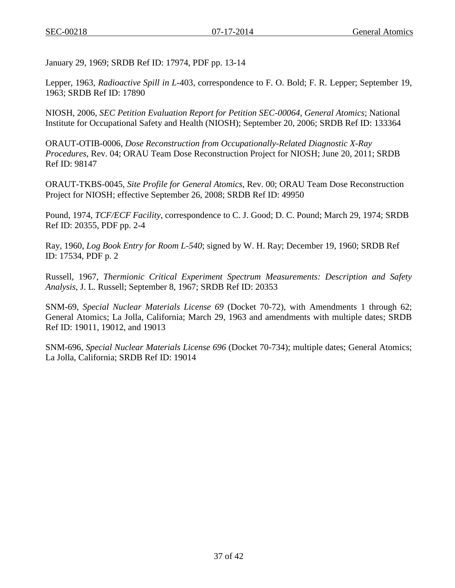January 29, 1969; SRDB Ref ID: 17974, PDF pp. 13-14

Lepper, 1963, *Radioactive Spill in L-*403, correspondence to F. O. Bold; F. R. Lepper; September 19, 1963; SRDB Ref ID: 17890

NIOSH, 2006, *SEC Petition Evaluation Report for Petition SEC-00064, General Atomics*; National Institute for Occupational Safety and Health (NIOSH); September 20, 2006; SRDB Ref ID: 133364

ORAUT-OTIB-0006, *Dose Reconstruction from Occupationally-Related Diagnostic X-Ray Procedures*, Rev. 04; ORAU Team Dose Reconstruction Project for NIOSH; June 20, 2011; SRDB Ref ID: 98147

ORAUT-TKBS-0045, *Site Profile for General Atomics*, Rev. 00; ORAU Team Dose Reconstruction Project for NIOSH; effective September 26, 2008; SRDB Ref ID: 49950

Pound, 1974, *TCF/ECF Facility*, correspondence to C. J. Good; D. C. Pound; March 29, 1974; SRDB Ref ID: 20355, PDF pp. 2-4

Ray, 1960, *Log Book Entry for Room L-540*; signed by W. H. Ray; December 19, 1960; SRDB Ref ID: 17534, PDF p. 2

Russell, 1967, *Thermionic Critical Experiment Spectrum Measurements: Description and Safety Analysis*, J. L. Russell; September 8, 1967; SRDB Ref ID: 20353

SNM-69, *Special Nuclear Materials License 69* (Docket 70-72), with Amendments 1 through 62; General Atomics; La Jolla, California; March 29, 1963 and amendments with multiple dates; SRDB Ref ID: 19011, 19012, and 19013

SNM-696, *Special Nuclear Materials License 696* (Docket 70-734); multiple dates; General Atomics; La Jolla, California; SRDB Ref ID: 19014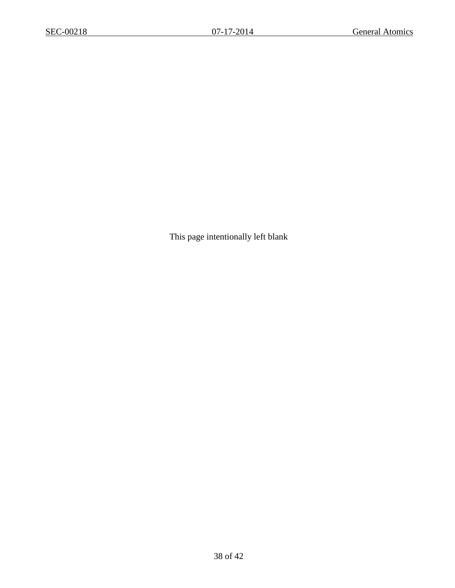This page intentionally left blank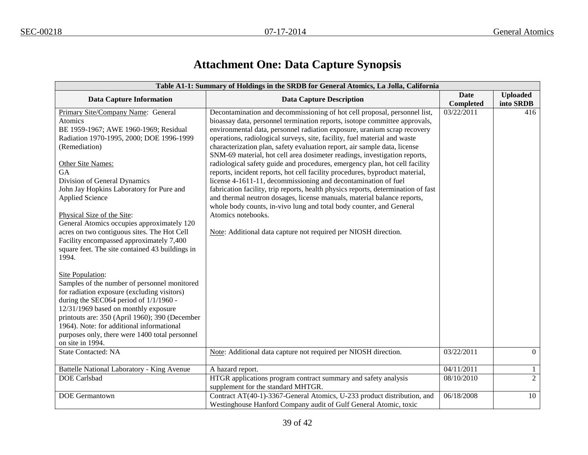# **Attachment One: Data Capture Synopsis**

<span id="page-38-0"></span>

| Table A1-1: Summary of Holdings in the SRDB for General Atomics, La Jolla, California                                                                                                                                                                                                                                                                                                                                                                                                                                                                                         |                                                                                                                                                                                                                                                                                                                                                                                                                                                                                                                                                                                                                                                                                                                                                                                                                                                                                                                                                                          |            |                 |
|-------------------------------------------------------------------------------------------------------------------------------------------------------------------------------------------------------------------------------------------------------------------------------------------------------------------------------------------------------------------------------------------------------------------------------------------------------------------------------------------------------------------------------------------------------------------------------|--------------------------------------------------------------------------------------------------------------------------------------------------------------------------------------------------------------------------------------------------------------------------------------------------------------------------------------------------------------------------------------------------------------------------------------------------------------------------------------------------------------------------------------------------------------------------------------------------------------------------------------------------------------------------------------------------------------------------------------------------------------------------------------------------------------------------------------------------------------------------------------------------------------------------------------------------------------------------|------------|-----------------|
| <b>Data Capture Information</b>                                                                                                                                                                                                                                                                                                                                                                                                                                                                                                                                               | <b>Data Capture Description</b>                                                                                                                                                                                                                                                                                                                                                                                                                                                                                                                                                                                                                                                                                                                                                                                                                                                                                                                                          | Date       | <b>Uploaded</b> |
|                                                                                                                                                                                                                                                                                                                                                                                                                                                                                                                                                                               |                                                                                                                                                                                                                                                                                                                                                                                                                                                                                                                                                                                                                                                                                                                                                                                                                                                                                                                                                                          | Completed  | into SRDB       |
| Primary Site/Company Name: General<br>Atomics<br>BE 1959-1967; AWE 1960-1969; Residual<br>Radiation 1970-1995, 2000; DOE 1996-1999<br>(Remediation)<br>Other Site Names:<br><b>GA</b><br>Division of General Dynamics<br>John Jay Hopkins Laboratory for Pure and<br><b>Applied Science</b><br>Physical Size of the Site:                                                                                                                                                                                                                                                     | Decontamination and decommissioning of hot cell proposal, personnel list,<br>bioassay data, personnel termination reports, isotope committee approvals,<br>environmental data, personnel radiation exposure, uranium scrap recovery<br>operations, radiological surveys, site, facility, fuel material and waste<br>characterization plan, safety evaluation report, air sample data, license<br>SNM-69 material, hot cell area dosimeter readings, investigation reports,<br>radiological safety guide and procedures, emergency plan, hot cell facility<br>reports, incident reports, hot cell facility procedures, byproduct material,<br>license 4-1611-11, decommissioning and decontamination of fuel<br>fabrication facility, trip reports, health physics reports, determination of fast<br>and thermal neutron dosages, license manuals, material balance reports,<br>whole body counts, in-vivo lung and total body counter, and General<br>Atomics notebooks. | 03/22/2011 | 416             |
| General Atomics occupies approximately 120<br>acres on two contiguous sites. The Hot Cell<br>Facility encompassed approximately 7,400<br>square feet. The site contained 43 buildings in<br>1994.<br>Site Population:<br>Samples of the number of personnel monitored<br>for radiation exposure (excluding visitors)<br>during the SEC064 period of $1/1/1960$ -<br>12/31/1969 based on monthly exposure<br>printouts are: 350 (April 1960); 390 (December<br>1964). Note: for additional informational<br>purposes only, there were 1400 total personnel<br>on site in 1994. | Note: Additional data capture not required per NIOSH direction.                                                                                                                                                                                                                                                                                                                                                                                                                                                                                                                                                                                                                                                                                                                                                                                                                                                                                                          |            |                 |
| <b>State Contacted: NA</b>                                                                                                                                                                                                                                                                                                                                                                                                                                                                                                                                                    | Note: Additional data capture not required per NIOSH direction.                                                                                                                                                                                                                                                                                                                                                                                                                                                                                                                                                                                                                                                                                                                                                                                                                                                                                                          | 03/22/2011 | $\overline{0}$  |
| Battelle National Laboratory - King Avenue                                                                                                                                                                                                                                                                                                                                                                                                                                                                                                                                    | A hazard report.                                                                                                                                                                                                                                                                                                                                                                                                                                                                                                                                                                                                                                                                                                                                                                                                                                                                                                                                                         | 04/11/2011 | $\mathbf{1}$    |
| DOE Carlsbad                                                                                                                                                                                                                                                                                                                                                                                                                                                                                                                                                                  | HTGR applications program contract summary and safety analysis<br>supplement for the standard MHTGR.                                                                                                                                                                                                                                                                                                                                                                                                                                                                                                                                                                                                                                                                                                                                                                                                                                                                     | 08/10/2010 | $\overline{2}$  |
| <b>DOE</b> Germantown                                                                                                                                                                                                                                                                                                                                                                                                                                                                                                                                                         | Contract AT(40-1)-3367-General Atomics, U-233 product distribution, and<br>Westinghouse Hanford Company audit of Gulf General Atomic, toxic                                                                                                                                                                                                                                                                                                                                                                                                                                                                                                                                                                                                                                                                                                                                                                                                                              | 06/18/2008 | 10              |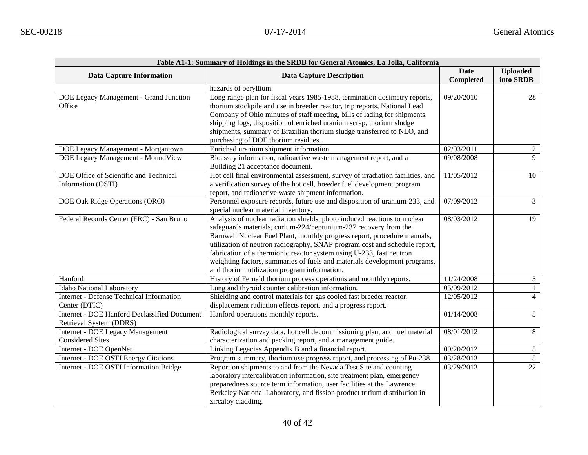| Table A1-1: Summary of Holdings in the SRDB for General Atomics, La Jolla, California |                                                                                                                                                                                                                                                                                                                                                                                                                                                                                                              |                                 |                              |  |
|---------------------------------------------------------------------------------------|--------------------------------------------------------------------------------------------------------------------------------------------------------------------------------------------------------------------------------------------------------------------------------------------------------------------------------------------------------------------------------------------------------------------------------------------------------------------------------------------------------------|---------------------------------|------------------------------|--|
| <b>Data Capture Information</b><br><b>Data Capture Description</b>                    |                                                                                                                                                                                                                                                                                                                                                                                                                                                                                                              | <b>Date</b><br><b>Completed</b> | <b>Uploaded</b><br>into SRDB |  |
|                                                                                       | hazards of beryllium.                                                                                                                                                                                                                                                                                                                                                                                                                                                                                        |                                 |                              |  |
| DOE Legacy Management - Grand Junction<br>Office                                      | Long range plan for fiscal years 1985-1988, termination dosimetry reports,<br>thorium stockpile and use in breeder reactor, trip reports, National Lead<br>Company of Ohio minutes of staff meeting, bills of lading for shipments,<br>shipping logs, disposition of enriched uranium scrap, thorium sludge<br>shipments, summary of Brazilian thorium sludge transferred to NLO, and                                                                                                                        | 09/20/2010                      | 28                           |  |
|                                                                                       | purchasing of DOE thorium residues.                                                                                                                                                                                                                                                                                                                                                                                                                                                                          |                                 |                              |  |
| DOE Legacy Management - Morgantown                                                    | Enriched uranium shipment information.                                                                                                                                                                                                                                                                                                                                                                                                                                                                       | 02/03/2011                      | $\overline{2}$               |  |
| DOE Legacy Management - MoundView                                                     | Bioassay information, radioactive waste management report, and a<br>Building 21 acceptance document.                                                                                                                                                                                                                                                                                                                                                                                                         | 09/08/2008                      | 9                            |  |
| DOE Office of Scientific and Technical<br>Information (OSTI)                          | Hot cell final environmental assessment, survey of irradiation facilities, and<br>a verification survey of the hot cell, breeder fuel development program<br>report, and radioactive waste shipment information.                                                                                                                                                                                                                                                                                             | 11/05/2012                      | $\overline{10}$              |  |
| DOE Oak Ridge Operations (ORO)                                                        | Personnel exposure records, future use and disposition of uranium-233, and<br>special nuclear material inventory.                                                                                                                                                                                                                                                                                                                                                                                            | 07/09/2012                      | 3                            |  |
| Federal Records Center (FRC) - San Bruno                                              | Analysis of nuclear radiation shields, photo induced reactions to nuclear<br>safeguards materials, curium-224/neptunium-237 recovery from the<br>Barnwell Nuclear Fuel Plant, monthly progress report, procedure manuals,<br>utilization of neutron radiography, SNAP program cost and schedule report,<br>fabrication of a thermionic reactor system using U-233, fast neutron<br>weighting factors, summaries of fuels and materials development programs,<br>and thorium utilization program information. | 08/03/2012                      | 19                           |  |
| Hanford                                                                               | History of Fernald thorium process operations and monthly reports.                                                                                                                                                                                                                                                                                                                                                                                                                                           | 11/24/2008                      | $5\overline{)}$              |  |
| Idaho National Laboratory                                                             | Lung and thyroid counter calibration information.                                                                                                                                                                                                                                                                                                                                                                                                                                                            | 05/09/2012                      | $\mathbf{1}$                 |  |
| <b>Internet - Defense Technical Information</b><br>Center (DTIC)                      | Shielding and control materials for gas cooled fast breeder reactor,<br>displacement radiation effects report, and a progress report.                                                                                                                                                                                                                                                                                                                                                                        | 12/05/2012                      | $\overline{4}$               |  |
| Internet - DOE Hanford Declassified Document<br>Retrieval System (DDRS)               | Hanford operations monthly reports.                                                                                                                                                                                                                                                                                                                                                                                                                                                                          | 01/14/2008                      | $\overline{5}$               |  |
| Internet - DOE Legacy Management<br><b>Considered Sites</b>                           | Radiological survey data, hot cell decommissioning plan, and fuel material<br>characterization and packing report, and a management guide.                                                                                                                                                                                                                                                                                                                                                                   | 08/01/2012                      | $\overline{8}$               |  |
| Internet - DOE OpenNet                                                                | Linking Legacies Appendix B and a financial report.                                                                                                                                                                                                                                                                                                                                                                                                                                                          | 09/20/2012                      | $5\overline{)}$              |  |
| <b>Internet - DOE OSTI Energy Citations</b>                                           | Program summary, thorium use progress report, and processing of Pu-238.                                                                                                                                                                                                                                                                                                                                                                                                                                      | 03/28/2013                      | $\overline{5}$               |  |
| Internet - DOE OSTI Information Bridge                                                | Report on shipments to and from the Nevada Test Site and counting<br>laboratory intercalibration information, site treatment plan, emergency<br>preparedness source term information, user facilities at the Lawrence<br>Berkeley National Laboratory, and fission product tritium distribution in<br>zircaloy cladding.                                                                                                                                                                                     | 03/29/2013                      | $\overline{22}$              |  |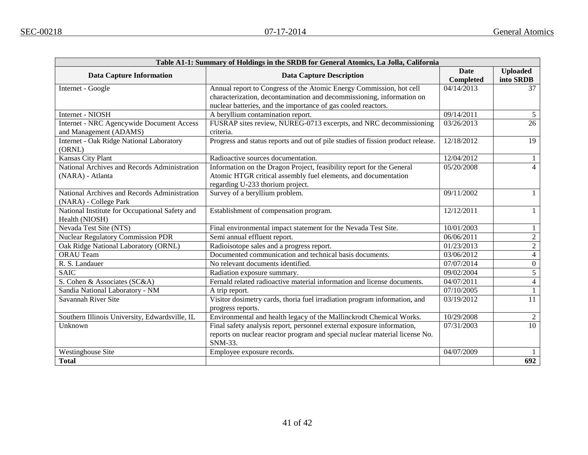| Table A1-1: Summary of Holdings in the SRDB for General Atomics, La Jolla, California |                                                                                                                                                                             |                                 |                              |  |
|---------------------------------------------------------------------------------------|-----------------------------------------------------------------------------------------------------------------------------------------------------------------------------|---------------------------------|------------------------------|--|
| <b>Data Capture Description</b><br><b>Data Capture Information</b>                    |                                                                                                                                                                             | <b>Date</b><br><b>Completed</b> | <b>Uploaded</b><br>into SRDB |  |
| Internet - Google                                                                     | Annual report to Congress of the Atomic Energy Commission, hot cell                                                                                                         | 04/14/2013                      | 37                           |  |
|                                                                                       | characterization, decontamination and decommissioning, information on                                                                                                       |                                 |                              |  |
|                                                                                       | nuclear batteries, and the importance of gas cooled reactors.                                                                                                               |                                 |                              |  |
| Internet - NIOSH                                                                      | A beryllium contamination report.                                                                                                                                           | 09/14/2011                      | 5                            |  |
| Internet - NRC Agencywide Document Access<br>and Management (ADAMS)                   | FUSRAP sites review, NUREG-0713 excerpts, and NRC decommissioning<br>criteria.                                                                                              | 03/26/2013                      | 26                           |  |
| <b>Internet - Oak Ridge National Laboratory</b><br>(ORNL)                             | Progress and status reports and out of pile studies of fission product release.                                                                                             | 12/18/2012                      | 19                           |  |
| <b>Kansas City Plant</b>                                                              | Radioactive sources documentation.                                                                                                                                          | 12/04/2012                      | 1                            |  |
| National Archives and Records Administration<br>(NARA) - Atlanta                      | Information on the Dragon Project, feasibility report for the General<br>Atomic HTGR critical assembly fuel elements, and documentation<br>regarding U-233 thorium project. | 05/20/2008                      | $\overline{4}$               |  |
| National Archives and Records Administration<br>(NARA) - College Park                 | Survey of a beryllium problem.                                                                                                                                              | 09/11/2002                      | $\mathbf{1}$                 |  |
| National Institute for Occupational Safety and<br>Health (NIOSH)                      | Establishment of compensation program.                                                                                                                                      | 12/12/2011                      |                              |  |
| Nevada Test Site (NTS)                                                                | Final environmental impact statement for the Nevada Test Site.                                                                                                              | 10/01/2003                      | 1                            |  |
| <b>Nuclear Regulatory Commission PDR</b>                                              | Semi annual effluent report.                                                                                                                                                | 06/06/2011                      | $\overline{2}$               |  |
| Oak Ridge National Laboratory (ORNL)                                                  | Radioisotope sales and a progress report.                                                                                                                                   | 01/23/2013                      | $\overline{2}$               |  |
| <b>ORAU</b> Team                                                                      | Documented communication and technical basis documents.                                                                                                                     | 03/06/2012                      | $\overline{4}$               |  |
| R. S. Landauer                                                                        | No relevant documents identified.                                                                                                                                           | 07/07/2014                      | $\overline{0}$               |  |
| <b>SAIC</b>                                                                           | Radiation exposure summary.                                                                                                                                                 | 09/02/2004                      | $\overline{5}$               |  |
| S. Cohen & Associates (SC&A)                                                          | Fernald related radioactive material information and license documents.                                                                                                     | 04/07/2011                      | $\overline{4}$               |  |
| Sandia National Laboratory - NM                                                       | A trip report.                                                                                                                                                              | 07/10/2005                      |                              |  |
| Savannah River Site                                                                   | Visitor dosimetry cards, thoria fuel irradiation program information, and<br>progress reports.                                                                              | 03/19/2012                      | 11                           |  |
| Southern Illinois University, Edwardsville, IL                                        | Environmental and health legacy of the Mallinckrodt Chemical Works.                                                                                                         | 10/29/2008                      | 2                            |  |
| Unknown                                                                               | Final safety analysis report, personnel external exposure information,                                                                                                      | 07/31/2003                      | 10                           |  |
|                                                                                       | reports on nuclear reactor program and special nuclear material license No.<br>SNM-33.                                                                                      |                                 |                              |  |
| <b>Westinghouse Site</b>                                                              | Employee exposure records.                                                                                                                                                  | 04/07/2009                      |                              |  |
| <b>Total</b>                                                                          |                                                                                                                                                                             |                                 | 692                          |  |